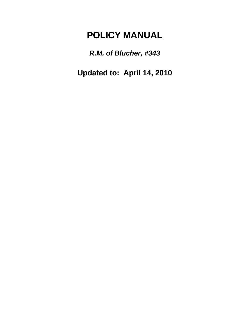# **POLICY MANUAL**

*R.M. of Blucher, #343*

**Updated to: April 14, 2010**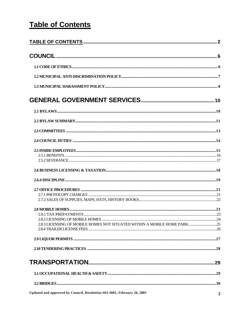# **Table of Contents**

| 2.8.3 LICENSING OF MOBILE HOMES NOT SITUATED WITHIN A MOBILE HOME PARK25 |  |
|--------------------------------------------------------------------------|--|
|                                                                          |  |
|                                                                          |  |
|                                                                          |  |
|                                                                          |  |
|                                                                          |  |
|                                                                          |  |
| Updated and approved by Council, Resolution #63-2001, February 26, 2001  |  |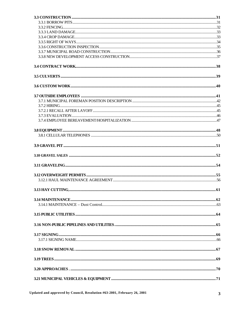Updated and approved by Council, Resolution #63-2001, February 26, 2001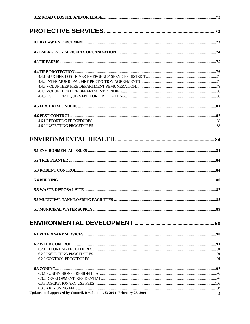| Updated and approved by Council, Resolution #63-2001, February 26, 2001 | $\overline{\mathbf{4}}$ |
|-------------------------------------------------------------------------|-------------------------|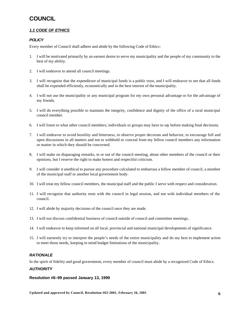## **COUNCIL**

### *1.1 CODE OF ETHICS*

#### *POLICY*

Every member of Council shall adhere and abide by the following Code of Ethics:

- 1. I will be motivated primarily by an earnest desire to serve my municipality and the people of my community to the best of my ability.
- 2. I will endeavor to attend all council meetings.
- 3. I will recognize that the expenditure of municipal funds is a public trust, and I will endeavor to see that all funds shall be expended efficiently, economically and in the best interest of the municipality.
- 4. I will not use the municipality or any municipal program for my own personal advantage or for the advantage of my friends.
- 5. I will do everything possible to maintain the integrity, confidence and dignity of the office of a rural municipal council member.
- 6. I will listen to what other council members; individuals or groups may have to say before making final decisions.
- 7. I will endeavor to avoid hostility and bitterness, to observe proper decorum and behavior, to encourage full and open discussions in all matters and not to withhold or conceal from my fellow council members any information or matter in which they should be concerned.
- 8. I will make no disparaging remarks, in or out of the council meeting, about other members of the council or their opinions, but I reserve the right to make honest and respectful criticism.
- 9. I will consider it unethical to pursue any procedure calculated to embarrass a fellow member of council, a member of the municipal staff or another local government body.
- 10. I will treat my fellow council members, the municipal staff and the public I serve with respect and consideration.
- 11. I will recognize that authority rests with the council in legal session, and not with individual members of the council.
- 12. I will abide by majority decisions of the council once they are made.
- 13. I will not discuss confidential business of council outside of council and committee meetings.
- 14. I will endeavor to keep informed on all local, provincial and national municipal developments of significance.
- 15. I will earnestly try to interpret the people's needs of the entire municipality and do my best to implement action to meet those needs, keeping in mind budget limitations of the municipality.

#### *RATIONALE*

In the spirit of fidelity and good government, every member of council must abide by a recognized Code of Ethics.

#### *AUTHORITY*

**Resolution #6–99 passed January 13, 1999**

**Updated and approved by Council, Resolution #63-2001, February 26, 2001 6**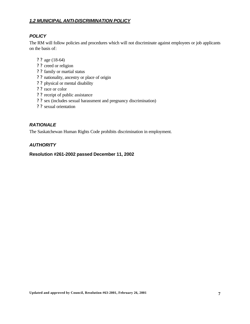### *1.2 MUNICIPAL ANTI-DISCRIMINATION POLICY*

### *POLICY*

The RM will follow policies and procedures which will not discriminate against employees or job applicants on the basis of:

- ? ? age (18-64)
- ? ? creed or religion
- ? ? family or martial status
- ? ? nationality, ancestry or place of origin
- ? ? physical or mental disability
- ? ? race or color
- ? ? receipt of public assistance
- ? ? sex (includes sexual harassment and pregnancy discrimination)
- ? ? sexual orientation

### *RATIONALE*

The Saskatchewan Human Rights Code prohibits discrimination in employment.

### *AUTHORITY*

**Resolution #261-2002 passed December 11, 2002**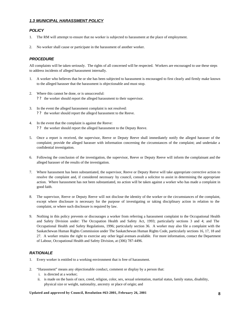#### *1.3 MUNICIPAL HARASSMENT POLICY*

#### *POLICY*

- 1. The RM will attempt to ensure that no worker is subjected to harassment at the place of employment.
- 2. No worker shall cause or participate in the harassment of another worker.

#### *PROCEDURE*

All complaints will be taken seriously. The rights of all concerned will be respected. Workers are encouraged to use these steps to address incidents of alleged harassment internally.

- 1. A worker who believes that he or she has been subjected to harassment is encouraged to first clearly and firmly make known to the alleged harasser that the harassment is objectionable and must stop.
- 2. Where this cannot be done, or is unsuccessful: ? ? the worker should report the alleged harassment to their supervisor.
- 3. In the event the alleged harassment complaint is not resolved: ? ? the worker should report the alleged harassment to the Reeve.
- 4. In the event that the complaint is against the Reeve: ? ? the worker should report the alleged harassment to the Deputy Reeve.
- 5. Once a report is received, the supervisor, Reeve or Deputy Reeve shall immediately notify the alleged harasser of the complaint; provide the alleged harasser with information concerning the circumstances of the complaint; and undertake a confidential investigation.
- 6. Following the conclusion of the investigation, the supervisor, Reeve or Deputy Reeve will inform the complainant and the alleged harasser of the results of the investigation.
- 7. Where harassment has been substantiated, the supervisor, Reeve or Deputy Reeve will take appropriate corrective action to resolve the complaint and, if considered necessary by council, consult a solicitor to assist in determining the appropriate action. Where harassment has not been substantiated, no action will be taken against a worker who has made a complaint in good faith.
- 8. The supervisor, Reeve or Deputy Reeve will not disclose the identity of the worker or the circumstances of the complaint, except where disclosure is necessary for the purpose of investigating or taking disciplinary action in relation to the complaint, or where such disclosure is required by law.
- 9. Nothing in this policy prevents or discourages a worker from referring a harassment complaint to the Occupational Health and Safety Division under: The Occupation Health and Safety Act, 1993; particularly sections 3 and 4; and The Occupational Health and Safety Regulations, 1996; particularly section 36. A worker may also file a complaint with the Saskatchewan Human Rights Commission under The Saskatchewan Human Rights Code, particularly sections 16, 17, 18 and 27. A worker retains the right to exercise any other legal avenues available. For more information, contact the Department of Labour, Occupational Health and Safety Division, at (306) 787-4496.

#### *RATIONALE*

- 1. Every worker is entitled to a working environment that is free of harassment.
- 2. "Harassment" means any objectionable conduct, comment or display by a person that:
	- i. is directed at a worker;
	- ii. is made on the basis of race, creed, religion, color, sex, sexual orientation, martial status, family status, disability, physical size or weight, nationality, ancestry or place of origin; and

#### **Updated and approved by Council, Resolution #63-2001, February 26, 2001 8**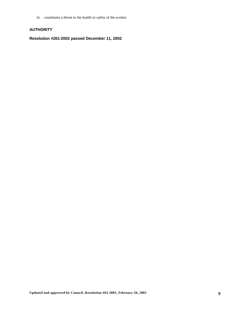iii. constitutes a threat to the health or safety of the worker.

### *AUTHORITY*

**Resolution #261-2002 passed December 11, 2002**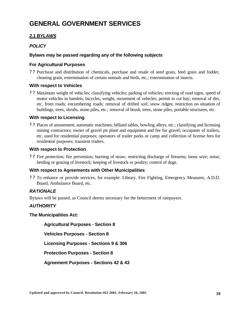# **GENERAL GOVERNMENT SERVICES**

### *2.1 BYLAWS*

### *POLICY*

### **Bylaws may be passed regarding any of the following subjects**

### **For Agricultural Purposes**

? ? Purchase and distribution of chemicals, purchase and resale of seed grain, feed grain and fodder, cleaning grain, extermination of certain animals and birds, etc.; extermination of insects.

#### **With respect to Vehicles**

? ? Maximum weight of vehicles; classifying vehicles; parking of vehicles; erecting of road signs, speed of motor vehicles in hamlets; bicycles; weight, movement of vehicles; permit to cut hay; removal of dirt, etc. from roads; encumbering roads; removal of drifted soil; snow ridges; restriction on situation of buildings, trees, shrubs, stone piles, etc.; removal of brush, trees, stone piles, portable structures, etc.

#### **With respect to Licensing**

? ? Places of amusement; automatic machines; billiard tables, bowling alleys, etc.; classifying and licensing mining contractors; owner of gravel pit plant and equipment and fee for gravel; occupants of trailers, etc. used for residential purposes; operators of trailer parks or camp and collection of license fees for residential purposes; transient traders.

### **With respect to Protection**

? ? Fire protection; fire prevention; burning of straw; restricting discharge of firearms; loose wire; noise; herding or grazing of livestock; keeping of livestock or poultry; control of dogs.

### **With respect to Agreements with Other Municipalities**

? ? To enhance or provide services, for example: Library, Fire Fighting, Emergency Measures, A.D.D. Board, Ambulance Board, etc.

### *RATIONALE*

Bylaws will be passed, as Council deems necessary for the betterment of ratepayers.

### *AUTHORITY*

**The Municipalities Act:** 

**Agricultural Purposes - Section 8**

**Vehicles Purposes - Section 8**

**Licensing Purposes - Sections 9 & 306**

**Protection Purposes - Section 8**

**Agreement Purposes - Sections 42 & 43**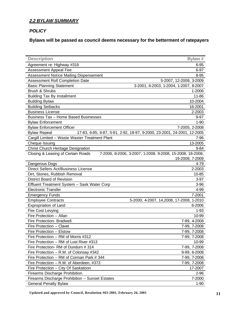### *2.2 BYLAW SUMMARY*

#### *POLICY*

**Bylaws will be passed as council deems necessary for the betterment of ratepayers**

| <b>Description</b>                              | Bylaw #                                                                 |
|-------------------------------------------------|-------------------------------------------------------------------------|
| Agreement re: Highway #316                      | 6-95                                                                    |
| Assessment Appeal Fee                           | 6-97                                                                    |
| Assessment Notice Mailing Dispensement          | $8 - 95$                                                                |
| Assessment Roll Completion Date                 | 5-2007, 12-2008, 3-2009                                                 |
| <b>Basic Planning Statement</b>                 | 3-2001, 6-2003, 1-2004, 1-2007, 8-2007                                  |
| Brush & Shrubs                                  | 1-2006                                                                  |
| <b>Building Tax By Installment</b>              | 11-86                                                                   |
| <b>Building Bylaw</b>                           | 10-2004                                                                 |
| <b>Building Setbacks</b>                        | 16-2001                                                                 |
| <b>Business License</b>                         | 2-2003                                                                  |
| <b>Business Tax - Home Based Businesses</b>     | $9 - 97$                                                                |
| <b>Bylaw Enforcement</b>                        | $1 - 90$                                                                |
| <b>Bylaw Enforcement Officer</b>                | 7-2005, 2-2008                                                          |
| <b>Bylaw Repeal</b>                             | 17-83, 6-85, 6-87, 5-91, 2-92, 18-97, 9-2000, 23-2001, 24-2001, 12-2005 |
| Cargill Limited - Waste Waster Treatment Plant  | 7-96                                                                    |
| Cheque Issuing                                  | 13-2005                                                                 |
| Christ Church Heritage Designation              | $9 - 84$                                                                |
| Closing & Leasing of Certain Roads              | 7-2006, 8-2006, 3-2007, 1-2008, 9-2008, 15-2008, 18-2008,               |
|                                                 | 19-2008, 7-2009                                                         |
| Dangerous Dogs                                  | 4-79                                                                    |
| Direct Sellers Act/Business License             | 2-2003                                                                  |
| Dirt, Stones, Rubbish Removal                   | 10-85                                                                   |
| District Board of Revision                      | $3-97$                                                                  |
| Effluent Treatment System - Sask Water Corp     | $3 - 96$                                                                |
| <b>Electronic Transfer</b>                      | 4-99                                                                    |
| <b>Emergency Funds</b>                          | 7-2001                                                                  |
| <b>Employee Contracts</b>                       | 5-2000, 4-2007, 14, 2008, 17-2008, 1-2010                               |
| Expropriation of Land                           | 6-2006                                                                  |
| Fire Cost Levying                               | $1 - 93$                                                                |
| Fire Protection - Allan                         | 10-99                                                                   |
| Fire Protection- Bradwell.                      | 7-99, 4-2008                                                            |
| Fire Protection - Clavet                        | 7-99, 7-2008                                                            |
| Fire Protection - Elstow                        | 7-99, 7-2008                                                            |
| Fire Protection - RM of Morris #312             | 7-99, 7-2008                                                            |
| Fire Protection - RM of Lost River #313         | 10-99                                                                   |
| Fire Protection-RM of Dundurn #314              | 7-99, 7-2008                                                            |
| Fire Protection - R.M. of Colonsay #342         | 9-99, 6-2008                                                            |
| Fire Protection - RM of Corman Park # 344       | 7-99, 7-2008                                                            |
| Fire Protection - R.M. of Aberdeen, #373        | 7-99, 7-2008                                                            |
| Fire Protection - City Of Saskatoon             | 17-2007                                                                 |
| Firearms Discharge Prohibition.                 | 2-96                                                                    |
| Firearms Discharge Prohibition - Sunset Estates | 7-2000                                                                  |
| <b>General Penalty Bylaw</b>                    | $1-90$                                                                  |

**Updated and approved by Council, Resolution #63-2001, February 26, 2001 11**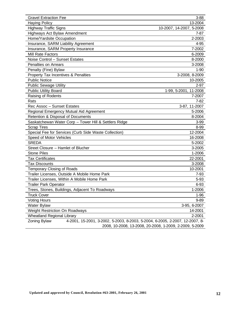| <b>Gravel Extraction Fee</b>                                                                 | $3 - 88$                                                |
|----------------------------------------------------------------------------------------------|---------------------------------------------------------|
| <b>Haying Policy</b>                                                                         | 13-2004                                                 |
| <b>Highway Traffic Signs</b>                                                                 | 10-2007, 14-2007, 5-2008                                |
| Highways Act Bylaw Amendment                                                                 | $7 - 87$                                                |
| Home/Yardsite Occupation                                                                     | 2-2003                                                  |
| Insurance, SARM Liability Agreement                                                          | 4-95                                                    |
| Insurance, SARM Property Insurance                                                           | 7-2002                                                  |
| Mill Rate Factors                                                                            | 6-2009                                                  |
| Noise Control - Sunset Estates                                                               | 8-2000                                                  |
| Penalties on Arrears                                                                         | 3-2008                                                  |
| Penalty (Fine) Bylaw                                                                         | $1 - 90$                                                |
| Property Tax Incentives & Penalties                                                          | 3-2008, 8-2009                                          |
| <b>Public Notice</b>                                                                         | 10-2005                                                 |
| <b>Public Sewage Utility</b>                                                                 | $2 - 97$                                                |
| <b>Public Utility Board</b>                                                                  | 1-99, 5-2001, 11-2008                                   |
| Raising of Rodents                                                                           | 7-2007                                                  |
| Rats                                                                                         | $7 - 82$                                                |
| Rec Assoc - Sunset Estates                                                                   | 3-87, 11-2007                                           |
| Regional Emergency Mutual Aid Agreement                                                      | 5-2006                                                  |
| Retention & Disposal of Documents                                                            | 8-2004                                                  |
| Saskatchewan Water Corp - Tower Hill & Settlers Ridge                                        | $3 - 99$                                                |
| <b>Scrap Tires</b>                                                                           | 8-99                                                    |
| Special Fee for Services (Curb Side Waste Collection)                                        | 12-2004                                                 |
| Speed of Motor Vehicles                                                                      | 16-2008                                                 |
| <b>SREDA</b>                                                                                 | 5-2002                                                  |
| Street Closure - Hamlet of Blucher                                                           | 3-2005                                                  |
| <b>Stone Piles</b>                                                                           | 1-2006                                                  |
| <b>Tax Certificates</b>                                                                      | 22-2001                                                 |
| <b>Tax Discounts</b>                                                                         | 3-2008                                                  |
| Temporary Closing of Roads                                                                   | 10-2001                                                 |
| Trailer Licenses, Outside A Mobile Home Park                                                 | 7-93                                                    |
| Trailer Licenses, Within A Mobile Home Park                                                  | 5-93                                                    |
| <b>Trailer Park Operator</b>                                                                 | $6 - 93$                                                |
| Trees, Stones, Buildings, Adjacent To Roadways                                               | 1-2006                                                  |
| <b>Truck Cover</b>                                                                           | $1 - 96$                                                |
| <b>Voting Hours</b>                                                                          | $9 - 89$                                                |
| Water Bylaw                                                                                  | 3-95, 6-2007                                            |
| <b>Weight Restriction On Roadways</b>                                                        | 14-2001                                                 |
| <b>Wheatland Regional Library</b>                                                            | 2-2001                                                  |
| Zoning Bylaw<br>4-2001, 15-2001, 3-2002, 5-2003, 8-2003, 5-2004, 6-2005, 2-2007, 12-2007, 8- |                                                         |
|                                                                                              | 2008, 10-2008, 13-2008, 20-2008, 1-2009, 2-2009, 5-2009 |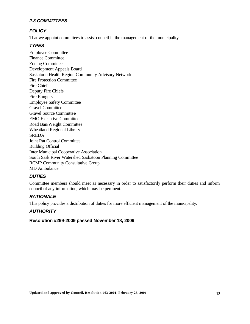### *2.3 COMMITTEES*

### *POLICY*

That we appoint committees to assist council in the management of the municipality.

### *TYPES*

Employee Committee Finance Committee Zoning Committee Development Appeals Board Saskatoon Health Region Community Advisory Network Fire Protection Committee Fire Chiefs Deputy Fire Chiefs Fire Rangers Employee Safety Committee Gravel Committee Gravel Source Committee EMO Executive Committee Road Ban/Weight Committee Wheatland Regional Library SREDA Joint Rat Control Committee Building Official Inter Municipal Cooperative Association South Sask River Watershed Saskatoon Planning Committee RCMP Community Consultative Group MD Ambulance

### *DUTIES*

Committee members should meet as necessary in order to satisfactorily perform their duties and inform council of any information, which may be pertinent.

### *RATIONALE*

This policy provides a distribution of duties for more efficient management of the municipality.

### *AUTHORITY*

#### **Resolution #299-2009 passed November 18, 2009**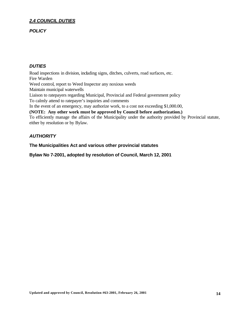### *2.4 COUNCIL DUTIES*

#### *POLICY*

#### *DUTIES*

Road inspections in division, including signs, ditches, culverts, road surfaces, etc. Fire Warden Weed control, report to Weed Inspector any noxious weeds Maintain municipal waterwells Liaison to ratepayers regarding Municipal, Provincial and Federal government policy To calmly attend to ratepayer's inquiries and comments In the event of an emergency, may authorize work, to a cost not exceeding \$1,000.00, **(NOTE: Any other work must be approved by Council before authorization.)**

To efficiently manage the affairs of the Municipality under the authority provided by Provincial statute, either by resolution or by Bylaw.

### *AUTHORITY*

**The Municipalities Act and various other provincial statutes**

**Bylaw No 7-2001, adopted by resolution of Council, March 12, 2001**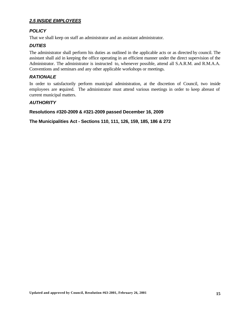### *2.5 INSIDE EMPLOYEES*

### *POLICY*

That we shall keep on staff an administrator and an assistant administrator.

### *DUTIES*

The administrator shall perform his duties as outlined in the applicable acts or as directed by council. The assistant shall aid in keeping the office operating in an efficient manner under the direct supervision of the Administrator. The administrator is instructed to, whenever possible, attend all S.A.R.M. and R.M.A.A. Conventions and seminars and any other applicable workshops or meetings.

### *RATIONALE*

In order to satisfactorily perform municipal administration, at the discretion of Council, two inside employees are required. The administrator must attend various meetings in order to keep abreast of current municipal matters.

### *AUTHORITY*

**Resolutions #320-2009 & #321-2009 passed December 16, 2009**

**The Municipalities Act - Sections 110, 111, 126, 159, 185, 186 & 272**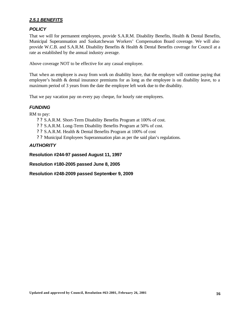### *2.5.1 BENEFITS*

### *POLICY*

That we will for permanent employees, provide S.A.R.M. Disability Benefits, Health & Dental Benefits, Municipal Superannuation and Saskatchewan Workers' Compensation Board coverage. We will also provide W.C.B. and S.A.R.M. Disability Benefits & Health & Dental Benefits coverage for Council at a rate as established by the annual industry average.

Above coverage NOT to be effective for any casual employee.

That when an employee is away from work on disability leave, that the employer will continue paying that employee's health & dental insurance premiums for as long as the employee is on disability leave, to a maximum period of 3 years from the date the employee left work due to the disability.

That we pay vacation pay on every pay cheque, for hourly rate employees.

### *FUNDING*

RM to pay:

- ? ? S.A.R.M. Short-Term Disability Benefits Program at 100% of cost.
- ? ? S.A.R.M. Long-Term Disability Benefits Program at 50% of cost.
- ? ? S.A.R.M. Health & Dental Benefits Program at 100% of cost
- ? ? Municipal Employees Superannuation plan as per the said plan's regulations.

### *AUTHORITY*

**Resolution #244-97 passed August 11, 1997**

**Resolution #180-2005 passed June 8, 2005**

**Resolution #248-2009 passed September 9, 2009**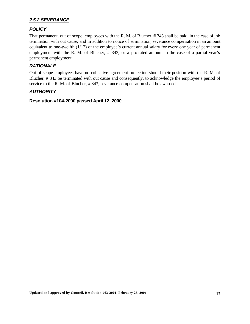#### *2.5.2 SEVERANCE*

### *POLICY*

That permanent, out of scope, employees with the R. M. of Blucher, # 343 shall be paid, in the case of job termination with out cause, and in addition to notice of termination, severance compensation in an amount equivalent to one-twelfth (1/12) of the employee's current annual salary for every one year of permanent employment with the R. M. of Blucher, # 343, or a pro-rated amount in the case of a partial year's permanent employment.

### *RATIONALE*

Out of scope employees have no collective agreement protection should their position with the R. M. of Blucher, # 343 be terminated with out cause and consequently, to acknowledge the employee's period of service to the R. M. of Blucher, # 343, severance compensation shall be awarded.

### *AUTHORITY*

**Resolution #104-2000 passed April 12, 2000**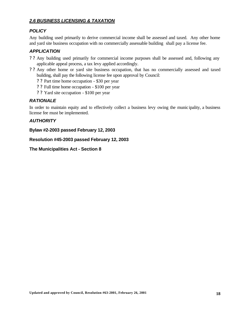### *2.6 BUSINESS LICENSING & TAXATION*

#### *POLICY*

Any building used primarily to derive commercial income shall be assessed and taxed. Any other home and yard site business occupation with no commercially assessable building shall pay a license fee.

### *APPLICATION*

- ? ? Any building used primarily for commercial income purposes shall be assessed and, following any applicable appeal process, a tax levy applied accordingly.
- ? ? Any other home or yard site business occupation, that has no commercially assessed and taxed building, shall pay the following license fee upon approval by Council:
	- ? ? Part time home occupation \$30 per year
	- ? ? Full time home occupation \$100 per year
	- ? ? Yard site occupation \$100 per year

### *RATIONALE*

In order to maintain equity and to effectively collect a business levy owing the munic ipality, a business license fee must be implemented.

#### *AUTHORITY*

**Bylaw #2-2003 passed February 12, 2003**

**Resolution #45-2003 passed February 12, 2003**

**The Municipalities Act - Section 8**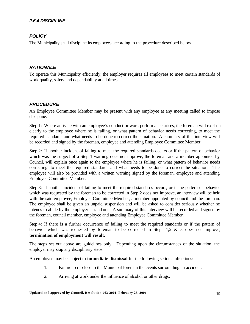### *2.6.4 DISCIPLINE*

### *POLICY*

The Municipality shall discipline its employees according to the procedure described below.

### *RATIONALE*

To operate this Municipality efficiently, the employer requires all employees to meet certain standards of work quality, safety and dependability at all times.

#### *PROCEDURE*

An Employee Committee Member may be present with any employee at any meeting called to impose discipline.

Step 1: Where an issue with an employee's conduct or work performance arises, the foreman will expla in clearly to the employee where he is failing, or what pattern of behavior needs correcting, to meet the required standards and what needs to be done to correct the situation. A summary of this interview will be recorded and signed by the foreman, employee and attending Employee Committee Member.

Step 2: If another incident of failing to meet the required standards occurs or if the pattern of behavior which was the subject of a Step 1 warning does not improve, the foreman and a member appointed by Council, will explain once again to the employee where he is failing, or what pattern of behavior needs correcting, to meet the required standards and what needs to be done to correct the situation. The employee will also be provided with a written warning signed by the foreman, employee and attending Employee Committee Member.

Step 3: If another incident of failing to meet the required standards occurs, or if the pattern of behavior which was requested by the foreman to be corrected in Step 2 does not improve, an interview will be held with the said employee, Employee Committee Member, a member appointed by council and the foreman. The employee shall be given an unpaid suspension and will be asked to consider seriously whether he intends to abide by the employer's standards. A summary of this interview will be recorded and signed by the foreman, council member, employee and attending Employee Committee Member.

Step 4: If there is a further occurrence of failing to meet the required standards or if the pattern of behavior which was requested by foreman to be corrected in Steps 1,2 & 3 does not improve, **termination of employment will result.**

The steps set out above are guidelines only. Depending upon the circumstances of the situation, the employer may skip any disciplinary steps.

An employee may be subject to **immediate dismissal** for the following serious infractions:

- 1. Failure to disclose to the Municipal foreman the events surrounding an accident.
- 2. Arriving at work under the influence of alcohol or other drugs.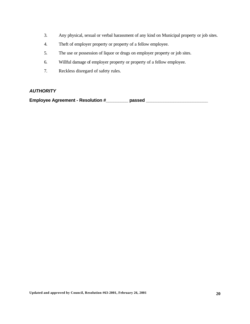- 3. Any physical, sexual or verbal harassment of any kind on Municipal property or job sites.
- 4. Theft of employer property or property of a fellow employee.
- 5. The use or possession of liquor or drugs on employer property or job sites.
- 6. Willful damage of employer property or property of a fellow employee.
- 7. Reckless disregard of safety rules.

### *AUTHORITY*

**Employee Agreement - Resolution #\_\_\_\_\_\_\_\_\_ passed \_\_\_\_\_\_\_\_\_\_\_\_\_\_\_\_\_\_\_\_\_\_\_\_\_**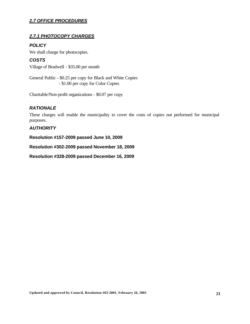### *2.7 OFFICE PROCEDURES*

### *2.7.1 PHOTOCOPY CHARGES*

### *POLICY*

*COSTS*

We shall charge for photocopies.

Village of Bradwell - \$35.00 per month

General Public - \$0.25 per copy for Black and White Copies - \$1.00 per copy for Color Copies

Charitable/Non-profit organizations - \$0.07 per copy

### *RATIONALE*

These charges will enable the municipality to cover the costs of copies not performed for municipal purposes.

### *AUTHORITY*

**Resolution #157-2009 passed June 10, 2009**

**Resolution #302-2009 passed November 18, 2009**

**Resolution #328-2009 passed December 16, 2009**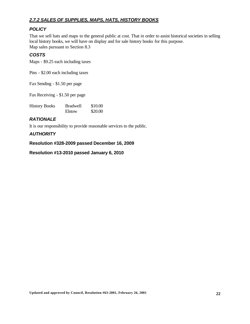### *2.7.2 SALES OF SUPPLIES, MAPS, HATS, HISTORY BOOKS*

### *POLICY*

That we sell hats and maps to the general public at cost. That in order to assist historical societies in selling local history books, we will have on display and for sale history books for this purpose. Map sales pursuant to Section 8.3

### *COSTS*

Maps - \$9.25 each including taxes

Pins - \$2.00 each including taxes

Fax Sending - \$1.50 per page

Fax Receiving - \$1.50 per page

| <b>History Books</b> | <b>Bradwell</b> | \$10.00 |
|----------------------|-----------------|---------|
|                      | Elstow          | \$20.00 |

### *RATIONALE*

It is our responsibility to provide reasonable services to the public.

### *AUTHORITY*

**Resolution #328-2009 passed December 16, 2009**

**Resolution #13-2010 passed January 6, 2010**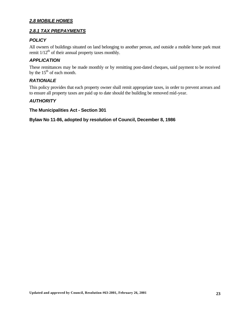### *2.8 MOBILE HOMES*

### *2.8.1 TAX PREPAYMENTS*

### *POLICY*

All owners of buildings situated on land belonging to another person, and outside a mobile home park must remit  $1/12^{th}$  of their annual property taxes monthly.

### *APPLICATION*

These remittances may be made monthly or by remitting post-dated cheques, said payment to be received by the  $15<sup>th</sup>$  of each month.

### *RATIONALE*

This policy provides that each property owner shall remit appropriate taxes, in order to prevent arrears and to ensure all property taxes are paid up to date should the building be removed mid-year.

### *AUTHORITY*

**The Municipalities Act - Section 301**

**Bylaw No 11-86, adopted by resolution of Council, December 8, 1986**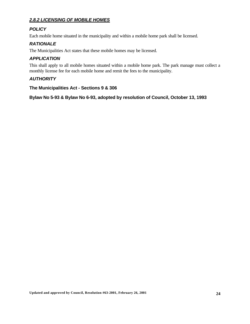### *2.8.2 LICENSING OF MOBILE HOMES*

### *POLICY*

Each mobile home situated in the municipality and within a mobile home park shall be licensed.

### *RATIONALE*

The Municipalities Act states that these mobile homes may be licensed.

### *APPLICATION*

This shall apply to all mobile homes situated within a mobile home park. The park manage must collect a monthly license fee for each mobile home and remit the fees to the municipality.

### *AUTHORITY*

**The Municipalities Act - Sections 9 & 306**

**Bylaw No 5-93 & Bylaw No 6-93, adopted by resolution of Council, October 13, 1993**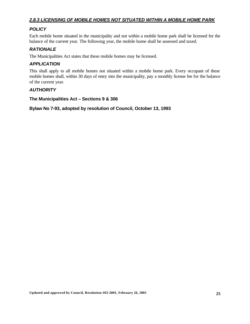### *2.8.3 LICENSING OF MOBILE HOMES NOT SITUATED WITHIN A MOBILE HOME PARK*

### *POLICY*

Each mobile home situated in the municipality and not within a mobile home park shall be licensed for the balance of the current year. The following year, the mobile home shall be assessed and taxed.

### *RATIONALE*

The Municipalities Act states that these mobile homes may be licensed.

### *APPLICATION*

This shall apply to all mobile homes not situated within a mobile home park. Every occupant of these mobile homes shall, within 30 days of entry into the municipality, pay a monthly license fee for the balance of the current year.

### *AUTHORITY*

**The Municipalities Act – Sections 9 & 306**

**Bylaw No 7-93, adopted by resolution of Council, October 13, 1993**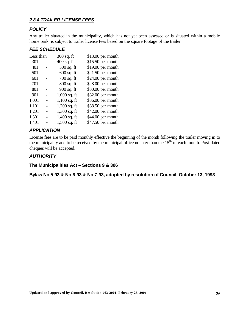### *2.8.4 TRAILER LICENSE FEES*

### *POLICY*

Any trailer situated in the municipality, which has not yet been assessed or is situated within a mobile home park, is subject to trailer license fees based on the square footage of the trailer

### *FEE SCHEDULE*

| Less than |                | 300 sq. ft     | $$13.00$ per month |
|-----------|----------------|----------------|--------------------|
| 301       |                | $400$ sq. ft   | $$15.50$ per month |
| 401       |                | $500$ sq. ft   | \$19.00 per month  |
| 501       |                | $600$ sq. ft   | $$21.50$ per month |
| 601       |                | $700$ sq. ft   | $$24.00$ per month |
| 701       |                | $800$ sq. ft   | $$28.00$ per month |
| 801       |                | 900 sq. ft     | \$30.00 per month  |
| 901       |                | $1,000$ sq. ft | $$32.00$ per month |
| 1,001     |                | $1,100$ sq. ft | $$36.00$ per month |
| 1,101     |                | $1,200$ sq. ft | \$38.50 per month  |
| 1,201     | $\overline{a}$ | $1,300$ sq. ft | $$42.00$ per month |
| 1,301     | $\overline{a}$ | $1,400$ sq. ft | \$44.00 per month  |
| 1,401     |                | $1,500$ sq. ft | \$47.50 per month  |

### *APPLICATION*

License fees are to be paid monthly effective the beginning of the month following the trailer moving in to the municipality and to be received by the municipal office no later than the  $15<sup>th</sup>$  of each month. Post-dated cheques will be accepted.

### *AUTHORITY*

**The Municipalities Act – Sections 9 & 306**

**Bylaw No 5-93 & No 6-93 & No 7-93, adopted by resolution of Council, October 13, 1993**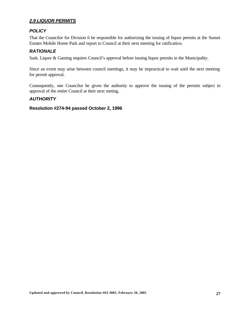### *2.9 LIQUOR PERMITS*

#### *POLICY*

That the Councilor for Division 6 be responsible for authorizing the issuing of liquor permits at the Sunset Estates Mobile Home Park and report to Council at their next meeting for ratification.

### *RATIONALE*

Sask. Liquor & Gaming requires Council's approval before issuing liquor permits in the Municipality.

Since an event may arise between council meetings, it may be impractical to wait until the next meeting for permit approval.

Consequently, one Councilor be given the authority to approve the issuing of the permits subject to approval of the entire Council at their next meting.

### *AUTHORITY*

#### **Resolution #274-94 passed October 2, 1996**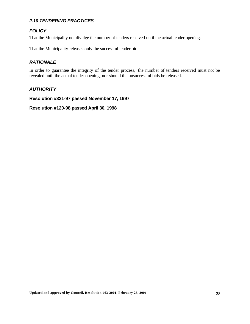### *2.10 TENDERING PRACTICES*

### *POLICY*

That the Municipality not divulge the number of tenders received until the actual tender opening.

That the Municipality releases only the successful tender bid.

### *RATIONALE*

In order to guarantee the integrity of the tender process, the number of tenders received must not be revealed until the actual tender opening, nor should the unsuccessful bids be released.

### *AUTHORITY*

**Resolution #321-97 passed November 17, 1997**

**Resolution #120-98 passed April 30, 1998**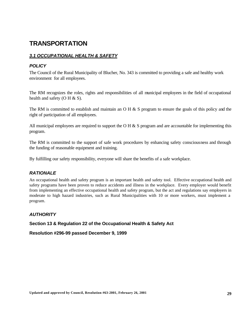## **TRANSPORTATION**

### *3.1 OCCUPATIONAL HEALTH & SAFETY*

### *POLICY*

The Council of the Rural Municipality of Blucher, No. 343 is committed to providing a safe and healthy work environment for all employees.

The RM recognizes the roles, rights and responsibilities of all municipal employees in the field of occupational health and safety (O H  $\&$  S).

The RM is committed to establish and maintain an O H & S program to ensure the goals of this policy and the right of participation of all employees.

All municipal employees are required to support the O H & S program and are accountable for implementing this program.

The RM is committed to the support of safe work procedures by enhancing safety consciousness and through the funding of reasonable equipment and training.

By fulfilling our safety responsibility, everyone will share the benefits of a safe workplace.

### *RATIONALE*

An occupational health and safety program is an important health and safety tool. Effective occupational health and safety programs have been proven to reduce accidents and illness in the workplace. Every employer would benefit from implementing an effective occupational health and safety program, but the act and regulations say employers in moderate to high hazard industries, such as Rural Municipalities with 10 or more workers, must implement a program.

### *AUTHORITY*

**Section 13 & Regulation 22 of the Occupational Health & Safety Act**

**Resolution #296-99 passed December 9, 1999**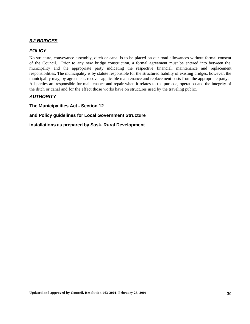### *3.2 BRIDGES*

#### *POLICY*

No structure, conveyance assembly, ditch or canal is to be placed on our road allowances without formal consent of the Council. Prior to any new bridge construction, a formal agreement must be entered into between the municipality and the appropriate party indicating the respective financial, maintenance and replacement responsibilities. The municipality is by statute responsible for the structured liability of existing bridges, however, the municipality may, by agreement, recover applicable maintenance and replacement costs from the appropriate party. All parties are responsible for maintenance and repair when it relates to the purpose, operation and the integrity of the ditch or canal and for the effect those works have on structures used by the traveling public.

#### *AUTHORITY*

**The Municipalities Act - Section 12**

**and Policy guidelines for Local Government Structure**

**installations as prepared by Sask. Rural Development**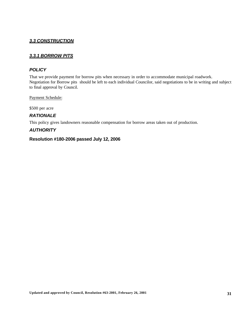### *3.3 CONSTRUCTION*

### *3.3.1 BORROW PITS*

### *POLICY*

That we provide payment for borrow pits when necessary in order to accommodate municipal roadwork. Negotiation for Borrow pits should be left to each individual Councilor, said negotiations to be in writing and subject to final approval by Council.

Payment Schedule:

\$500 per acre

#### *RATIONALE*

This policy gives landowners reasonable compensation for borrow areas taken out of production.

#### *AUTHORITY*

#### **Resolution #180-2006 passed July 12, 2006**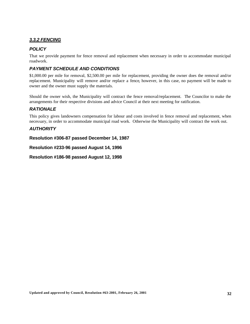### *3.3.2 FENCING*

### *POLICY*

That we provide payment for fence removal and replacement when necessary in order to accommodate municipal roadwork.

### *PAYMENT SCHEDULE AND CONDITIONS*

\$1,000.00 per mile for removal, \$2,500.00 per mile for replacement, providing the owner does the removal and/or replacement. Municipality will remove and/or replace a fence, however, in this case, no payment will be made to owner and the owner must supply the materials.

Should the owner wish, the Municipality will contract the fence removal/replacement. The Councilor to make the arrangements for their respective divisions and advice Council at their next meeting for ratification.

### *RATIONALE*

This policy gives landowners compensation for labour and costs involved in fence removal and replacement, when necessary, in order to accommodate municipal road work. Otherwise the Municipality will contract the work out.

### *AUTHORITY*

**Resolution #306-87 passed December 14, 1987**

**Resolution #233-96 passed August 14, 1996**

**Resolution #186-98 passed August 12, 1998**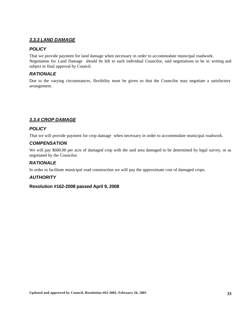#### *3.3.3 LAND DAMAGE*

#### *POLICY*

That we provide payment for land damage when necessary in order to accommodate municipal roadwork. Negotiation for Land Damage should be left to each individual Councilor, said negotiations to be in writing and subject to final approval by Council.

### *RATIONALE*

Due to the varying circumstances, flexibility must be given so that the Councilor may negotiate a satisfactory arrangement.

### *3.3.4 CROP DAMAGE*

### *POLICY*

That we will provide payment for crop damage when necessary in order to accommodate municipal roadwork.

### *COMPENSATION*

We will pay \$600.00 per acre of damaged crop with the said area damaged to be determined by legal survey, or as negotiated by the Councilor.

### *RATIONALE*

In order to facilitate municipal road construction we will pay the approximate cost of damaged crops.

### *AUTHORITY*

#### **Resolution #162-2008 passed April 9, 2008**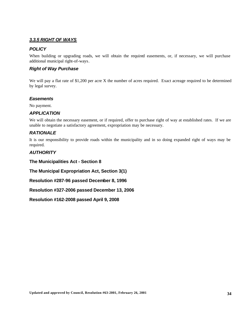#### *3.3.5 RIGHT OF WAYS*

#### *POLICY*

When building or upgrading roads, we will obtain the required easements, or, if necessary, we will purchase additional municipal right-of-ways.

### *Right of Way Purchase*

We will pay a flat rate of \$1,200 per acre X the number of acres required. Exact acreage required to be determined by legal survey.

### *Easements*

No payment.

#### *APPLICATION*

We will obtain the necessary easement, or if required, offer to purchase right of way at established rates. If we are unable to negotiate a satisfactory agreement, expropriation may be necessary.

### *RATIONALE*

It is our responsibility to provide roads within the municipality and in so doing expanded right of ways may be required.

### *AUTHORITY*

**The Municipalities Act - Section 8**

**The Municipal Expropriation Act, Section 3(1)**

**Resolution #287-96 passed December 8, 1996**

**Resolution #327-2006 passed December 13, 2006**

**Resolution #162-2008 passed April 9, 2008**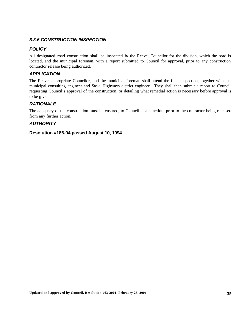#### *3.3.6 CONSTRUCTION INSPECTION*

### *POLICY*

All designated road construction shall be inspected by the Reeve, Councilor for the division, which the road is located, and the municipal foreman, with a report submitted to Council for approval, prior to any construction contractor release being authorized.

### *APPLICATION*

The Reeve, appropriate Councilor, and the municipal foreman shall attend the final inspection, together with the municipal consulting engineer and Sask. Highways district engineer. They shall then submit a report to Council requesting Council's approval of the construction, or detailing what remedial action is necessary before approval is to be given.

### *RATIONALE*

The adequacy of the construction must be ensured, to Council's satisfaction, prior to the contractor being released from any further action.

### *AUTHORITY*

### **Resolution #186-94 passed August 10, 1994**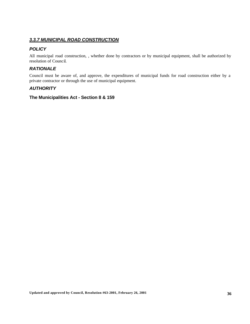### *3.3.7 MUNICIPAL ROAD CONSTRUCTION*

### *POLICY*

All municipal road construction, , whether done by contractors or by municipal equipment, shall be authorized by resolution of Council.

### *RATIONALE*

Council must be aware of, and approve, the expenditures of municipal funds for road construction either by a private contractor or through the use of municipal equipment.

### *AUTHORITY*

**The Municipalities Act - Section 8 & 159**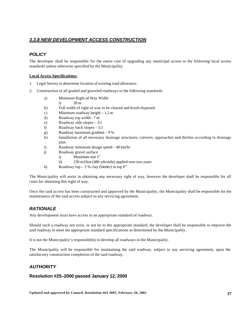# *3.3.8 NEW DEVELOPMENT ACCESS CONSTRUCTION*

# *POLICY*

The developer shall be responsible for the entire cost of upgrading any municipal access to the following local access standards unless otherwise specified by the Municipality.

#### **Local Access Specifications:**

- 1. Legal Survey to determine location of existing road allowance.
- 2. Construction of all graded and graveled roadways to the following standards:
	- a) Minimum Right of Way Width
		- i)  $20 \text{ m}$
	- b) Full width of right of way to be cleared and brush disposed
	- c) Minimum roadway height 1.2 m
	- d) Roadway top width 7 m
	- e) Roadway side slopes 3:1
	- f) Roadway back slopes 5:1
	- g) Roadway maximum gradient 9 %
	- h) Installation of all necessary drainage structures, culverts, approaches and ditches according to drainage plan
	- i) Roadway minimum design speed 40 km/hr
	- j) Roadway gravel surface
		- i) Maximum size 1"
		- ii) 230 m3/km (480 yds/mile) applied over two years
	- k) Roadway top  $-5\%$  clay (binder) in top 6"

The Municipality will assist in obtaining any necessary right of way, however the developer shall be responsible for all costs for obtaining this right of way.

Once the said access has been constructed and approved by the Municipality, the Municipality shall be responsible for the maintenance of the said access subject to any servicing agreement.

# *RATIONALE*

Any development must have access to an appropriate standard of roadway.

Should such a roadway not exist, or not be to the appropriate standard, the developer shall be responsible to improve the said roadway to meet the appropriate standard specifications as determined by the Municipality.

It is not the Municipality's responsibility to develop all roadways in the Municipality.

The Municipality will be responsible for maintaining the said roadway, subject to any servicing agreement, upon the satisfactory construction completion of the said roadway.

# *AUTHORITY*

# **Resolution #25–2000 passed January 12, 2000**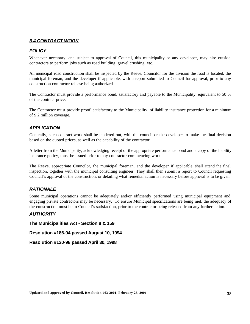### *3.4 CONTRACT WORK*

### *POLICY*

Whenever necessary, and subject to approval of Council, this municipality or any developer, may hire outside contractors to perform jobs such as road building, gravel crushing, etc.

All municipal road construction shall be inspected by the Reeve, Councilor for the division the road is located, the municipal foreman, and the developer if applicable, with a report submitted to Council for approval, prior to any construction contractor release being authorized.

The Contractor must provide a performance bond, satisfactory and payable to the Municipality, equivalent to 50 % of the contract price.

The Contractor must provide proof, satisfactory to the Municipality, of liability insurance protection for a minimum of \$ 2 million coverage.

### *APPLICATION*

Generally, such contract work shall be tendered out, with the council or the developer to make the final decision based on the quoted prices, as well as the capability of the contractor.

A letter from the Municipality, acknowledging receipt of the appropriate performance bond and a copy of the liability insurance policy, must be issued prior to any contractor commencing work.

The Reeve, appropriate Councilor, the municipal foreman, and the developer if applicable, shall attend the final inspection, together with the municipal consulting engineer. They shall then submit a report to Council requesting Council's approval of the construction, or detailing what remedial action is necessary before approval is to be given.

### *RATIONALE*

Some municipal operations cannot be adequately and/or efficiently performed using municipal equipment and engaging private contractors may be necessary. To ensure Municipal specifications are being met, the adequacy of the construction must be to Council's satisfaction, prior to the contractor being released from any further action.

### *AUTHORITY*

**The Municipalities Act - Section 8 & 159**

**Resolution #186-94 passed August 10, 1994**

**Resolution #120-98 passed April 30, 1998**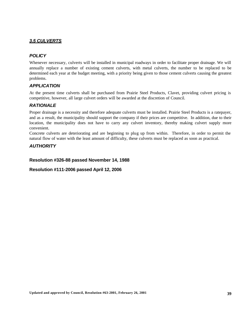# *3.5 CULVERTS*

# *POLICY*

Whenever necessary, culverts will be installed in municipal roadways in order to facilitate proper drainage. We will annually replace a number of existing cement culverts, with metal culverts, the number to be replaced to be determined each year at the budget meeting, with a priority being given to those cement culverts causing the greatest problems.

### *APPLICATION*

At the present time culverts shall be purchased from Prairie Steel Products, Clavet, providing culvert pricing is competitive, however, all large culvert orders will be awarded at the discretion of Council.

# *RATIONALE*

Proper drainage is a necessity and therefore adequate culverts must be installed. Prairie Steel Products is a ratepayer, and as a result, the municipality should support the company if their prices are competitive. In addition, due to their location, the municipality does not have to carry any culvert inventory, thereby making culvert supply more convenient.

Concrete culverts are deteriorating and are beginning to plug up from within. Therefore, in order to permit the natural flow of water with the least amount of difficulty, these culverts must be replaced as soon as practical.

# *AUTHORITY*

#### **Resolution #326-88 passed November 14, 1988**

**Resolution #111-2006 passed April 12, 2006**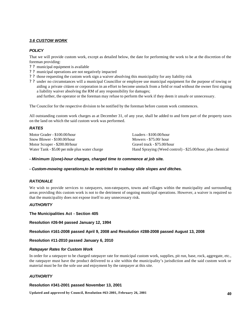#### *3.6 CUSTOM WORK*

#### *POLICY*

That we will provide custom work, except as detailed below, the date for performing the work to be at the discretion of the foreman providing:

- ? ? municipal equipment is available
- ? ? municipal operations are not negatively impacted
- ? ? those requesting the custom work sign a waiver absolving this municipality for any liability risk
- ? ? under no circumstances will a municipal Councillor or employee use municipal equipment for the purpose of towing or aiding a private citizen or corporation in an effort to become unstuck from a field or road without the owner first signing a liability waiver absolving the RM of any responsibility for damages;

and further, the operator or the foreman may refuse to perform the work if they deem it unsafe or unnecessary.

The Councilor for the respective division to be notified by the foreman before custom work commences.

All outstanding custom work charges as at December 31, of any year, shall be added to and form part of the property taxes on the land on which the said custom work was performed.

#### *RATES*

| Motor Grader - \$100.00/hour                   | Loaders - $$100.00/h$ our                                  |
|------------------------------------------------|------------------------------------------------------------|
| Snow Blower - \$100.00/hour                    | Mowers $-$ \$75.00/ hour                                   |
| Motor Scraper - \$200.00/hour                  | Gravel truck - \$75.00/hour                                |
| Water Tank - \$5.00 per mile plus water charge | Hand Spraying (Weed control) - \$25.00/hour, plus chemical |

*- Minimum 1(one)-hour charges, charged time to commence at job site.*

*- Custom-mowing operations***,***to be restricted to roadway slide slopes and ditches.*

#### *RATIONALE*

We wish to provide services to ratepayers, non-ratepayers, towns and villages within the municipality and surrounding areas providing this custom work is not to the detriment of ongoing municipal operations. However, a waiver is required so that the municipality does not expose itself to any unnecessary risk.

#### *AUTHORITY*

**The Municipalities Act - Section 405**

**Resolution #26-94 passed January 12, 1994**

**Resolution #161-2008 passed April 9, 2008 and Resolution #288-2008 passed August 13, 2008**

**Resolution #11-2010 passed January 6, 2010**

#### *Ratepayer Rates for Custom Work*

In order for a ratepayer to be charged ratepayer rate for municipal custom work, supplies, pit run, base, rock, aggregate, etc., the ratepayer must have the product delivered to a site within the municipality's jurisdiction and the said custom work or material must be for the sole use and enjoyment by the ratepayer at this site.

#### *AUTHORITY*

#### **Resolution #341-2001 passed November 13, 2001**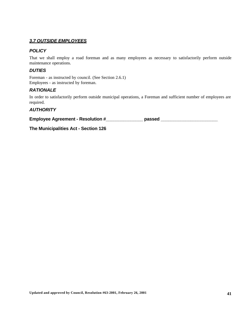### *3.7 OUTSIDE EMPLOYEES*

### *POLICY*

That we shall employ a road foreman and as many employees as necessary to satisfactorily perform outside maintenance operations.

### *DUTIES*

Foreman - as instructed by council. (See Section 2.6.1) Employees - as instructed by foreman.

# *RATIONALE*

In order to satisfactorily perform outside municipal operations, a Foreman and sufficient number of employees are required.

# *AUTHORITY*

**Employee Agreement - Resolution #\_\_\_\_\_\_\_\_\_\_\_\_\_\_\_ passed \_\_\_\_\_\_\_\_\_\_\_\_\_\_\_\_\_\_\_\_\_\_\_**

**The Municipalities Act - Section 126**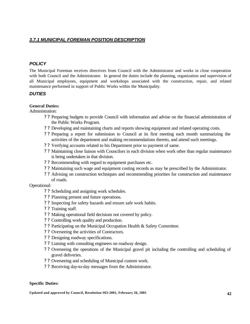# *3.7.1 MUNICIPAL FOREMAN POSITION DESCRIPTION*

# *POLICY*

The Municipal Foreman receives directives from Council with the Administrator and works in close cooperation with both Council and the Administrator. In general the duties include the planning, organization and supervision of all Municipal employees, equipment and workshops associated with the construction, repair, and related maintenance performed in support of Public Works within the Municipality.

### *DUTIES*

### **General Duties:**

Administration:

- ? ? Preparing budgets to provide Council with information and advise on the financial administration of the Public Works Program.
- ? ? Developing and maintaining charts and reports showing equipment and related operating costs.
- ? ? Preparing a report for submission to Council at its first meeting each month summarizing the activities of the department and making recommendations thereto, and attend such meetings.
- ? ? Verifying accounts related to his Department prior to payment of same.
- ? ? Maintaining close liaison with Councilors in each division when work other than regular maintenance is being undertaken in that division.
- ? ? Recommending with regard to equipment purchases etc.
- ? ? Maintaining such wage and equipment costing records as may be prescribed by the Administrator.
- ? ? Advising on construction techniques and recommending priorities for construction and maintenance of roads.

Operational:

- ? ? Scheduling and assigning work schedules.
- ? ? Planning present and future operations.
- ? ? Inspecting for safety hazards and ensure safe work habits.
- ? ? Training staff.
- ? ? Making operational field decisions not covered by policy.
- ? ? Controlling work quality and production.
- ? ? Participating on the Municipal Occupation Health & Safety Committee.
- ? ? Overseeing the activities of Contractors.
- ? ? Designing roadway specifications.
- ? ? Liaising with consulting engineers on roadway design.
- ? ? Overseeing the operations of the Municipal gravel pit including the controlling and scheduling of gravel deliveries.
- ? ? Overseeing and scheduling of Municipal custom work.
- ? ? Receiving day-to-day messages from the Administrator.

#### **Specific Duties:**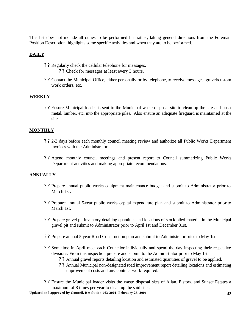This list does not include all duties to be performed but rather, taking general directions from the Foreman Position Description, highlights some specific activities and when they are to be performed.

### **DAILY**

- ? ? Regularly check the cellular telephone for messages.
	- ? ? Check for messages at least every 3 hours.
- ? ? Contact the Municipal Office, either personally or by telephone, to receive messages, gravel/custom work orders, etc.

### **WEEKLY**

? ? Ensure Municipal loader is sent to the Municipal waste disposal site to clean up the site and push metal, lumber, etc. into the appropriate piles. Also ensure an adequate fireguard is maintained at the site.

#### **MONTHLY**

- ? ? 2-3 days before each monthly council meeting review and authorize all Public Works Department invoices with the Administrator.
- ? ? Attend monthly council meetings and present report to Council summarizing Public Works Department activities and making appropriate recommendations.

### **ANNUALLY**

- ? ? Prepare annual public works equipment maintenance budget and submit to Administrator prior to March 1st.
- ? ? Prepare annual 5-year public works capital expenditure plan and submit to Administrator prior to March 1st.
- ? ? Prepare gravel pit inventory detailing quantities and locations of stock piled material in the Municipal gravel pit and submit to Administrator prior to April 1st and December 31st.
- ? ? Prepare annual 5 year Road Construction plan and submit to Administrator prior to May 1st.
- ? ? Sometime in April meet each Councilor individually and spend the day inspecting their respective divisions. From this inspection prepare and submit to the Administrator prior to May 1st.
	- ? ? Annual gravel reports detailing location and estimated quantities of gravel to be applied.
	- ? ? Annual Municipal non-designated road improvement report detailing locations and estimating improvement costs and any contract work required.
- ? ? Ensure the Municipal loader visits the waste disposal sites of Allan, Elstow, and Sunset Estates a maximum of 8 times per year to clean up the said sites.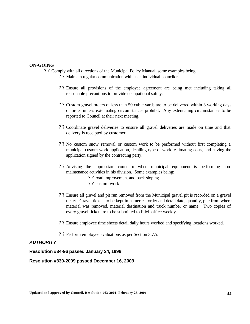#### **ON-GOING**

- ? ? Comply with all directions of the Municipal Policy Manual, some examples being:
	- ? ? Maintain regular communication with each individual councilor.
	- ? ? Ensure all provisions of the employee agreement are being met including taking all reasonable precautions to provide occupational safety.
	- ? ? Custom gravel orders of less than 50 cubic yards are to be delivered within 3 working days of order unless extenuating circumstances prohibit. Any extenuating circumstances to be reported to Council at their next meeting.
	- ? ? Coordinate gravel deliveries to ensure all gravel deliveries are made on time and that delivery is receipted by customer.
	- ? ? No custom snow removal or custom work to be performed without first completing a municipal custom work application, detailing type of work, estimating costs, and having the application signed by the contracting party.
	- ? ? Advising the appropriate councilor when municipal equipment is performing nonmaintenance activities in his division. Some examples being:
		- ? ? road improvement and back sloping
		- ? ? custom work
	- ? ? Ensure all gravel and pit run removed from the Municipal gravel pit is recorded on a gravel ticket. Gravel tickets to be kept in numerical order and detail date, quantity, pile from where material was removed, material destination and truck number or name. Two copies of every gravel ticket are to be submitted to R.M. office weekly.
	- ? ? Ensure employee time sheets detail daily hours worked and specifying locations worked.
	- ? ? Perform employee evaluations as per Section 3.7.5.

#### *AUTHORITY*

**Resolution #34-96 passed January 24, 1996**

**Resolution #339-2009 passed December 16, 2009**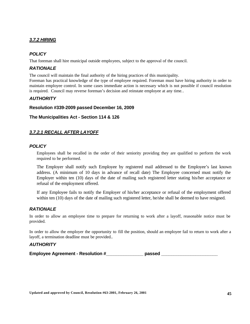# *3.7.2 HIRING*

# *POLICY*

That foreman shall hire municipal outside employees, subject to the approval of the council.

# *RATIONALE*

The council will maintain the final authority of the hiring practices of this municipality.

Foreman has practical knowledge of the type of employee required. Foreman must have hiring authority in order to maintain employee control. In some cases immediate action is necessary which is not possible if council resolution is required. Council may reverse foreman's decision and reinstate employee at any time..

# *AUTHORITY*

### **Resolution #339-2009 passed December 16, 2009**

### **The Municipalities Act - Section 114 & 126**

# *3.7.2.1 RECALL AFTER LAYOFF*

### *POLICY*

Employees shall be recalled in the order of their seniority providing they are qualified to perform the work required to be performed.

The Employer shall notify such Employee by registered mail addressed to the Employee's last known address. (A minimum of 10 days in advance of recall date) The Employee concerned must notify the Employer within ten (10) days of the date of mailing such registered letter stating his/her acceptance or refusal of the employment offered.

If any Employee fails to notify the Employer of his/her acceptance or refusal of the employment offered within ten (10) days of the date of mailing such registered letter, he/she shall be deemed to have resigned.

# *RATIONALE*

In order to allow an employee time to prepare for returning to work after a layoff, reasonable notice must be provided.

In order to allow the employer the opportunity to fill the position, should an employee fail to return to work after a layoff, a termination deadline must be provided..

### *AUTHORITY*

**Employee Agreement - Resolution #\_\_\_\_\_\_\_\_\_\_\_\_\_\_\_ passed \_\_\_\_\_\_\_\_\_\_\_\_\_\_\_\_\_\_\_\_\_\_\_**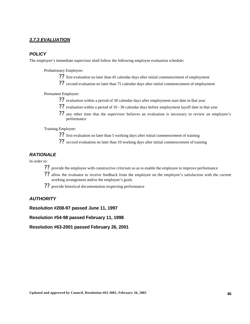### *3.7.3 EVALUATION*

### *POLICY*

The employee's immediate supervisor shall follow the following employee evaluation schedule:

Probationary Employee:

- ?? first evaluation no later than 45 calendar days after initial commencement of employment
- ?? second evaluation no later than 75 calendar days after initial commencement of employment

Permanent Employee:

- ?? evaluation within a period of 30 calendar days after employment start date in that year
- ?? evaluation within a period of 10 30 calendar days before employment layoff date in that year
- ?? any other time that the supervisor believes an evaluation is necessary to review an employee's performance

Training Employee:

- ?? first evaluation no later than 5 working days after initial commencement of training
- ?? second evaluation no later than 10 working days after initial commencement of training

### *RATIONALE*

In order to:

- ?? provide the employee with constructive criticism so as to enable the employee to improve performance
- ?? allow the evaluator to receive feedback from the employee on the employee's satisfaction with the current working arrangement and/or the employee's goals
- ?? provide historical documentation respecting performance

# *AUTHORITY*

**Resolution #208-97 passed June 11, 1997**

**Resolution #54-98 passed February 11, 1998**

**Resolution #63-2001 passed February 26, 2001**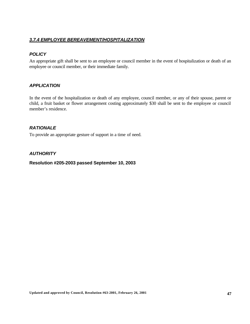# *3.7.4 EMPLOYEE BEREAVEMENT/HOSPITALIZATION*

# *POLICY*

An appropriate gift shall be sent to an employee or council member in the event of hospitalization or death of an employee or council member, or their immediate family.

# *APPLICATION*

In the event of the hospitalization or death of any employee, council member, or any of their spouse, parent or child, a fruit basket or flower arrangement costing approximately \$30 shall be sent to the employee or council member's residence.

# *RATIONALE*

To provide an appropriate gesture of support in a time of need.

# *AUTHORITY*

### **Resolution #205-2003 passed September 10, 2003**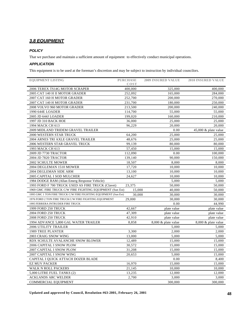# *3.8 EQUIPMENT*

#### *POLICY*

That we purchase and maintain a sufficient amount of equipment to effectively conduct municipal operations.

#### *APPLICATION*

This equipment is to be used at the foreman's discretion and may be subject to instruction by individual councilors.

| <b>EQUIPMENT LISTING</b>                                        | <b>PURCHASE</b> | <b>2009 INSURED VALUE</b> | <b>2010 INSURED VALUE</b> |
|-----------------------------------------------------------------|-----------------|---------------------------|---------------------------|
|                                                                 | <b>COST</b>     |                           |                           |
| 2006 TEREX TS14G MOTOR SCRAPER                                  | 400,000         | 325,000                   | 400,000                   |
| 2005 CAT 140 H II MOTOR GRADER                                  | 252,092         | 165,000                   | 284,000                   |
| 2007 CAT 160 H MOTOR GRADER                                     | 252,700         | 200,000                   | 270,000                   |
| 2007 CAT 140 H MOTOR GRADER                                     | 231,700         | 180,000                   | 250,000                   |
| 2008 VOLVO 960 MOTOR GRADER                                     | 213,500         | 200,000                   | 240,000                   |
| 1990 644E LOADER                                                | 114,700         | 55,000                    | 55,000                    |
| 2005 JD 644J LOADER                                             | 199,020         | 160,000                   | 210,000                   |
| 1997 JD 310 BACK HOE                                            | 36,000          | 25,000                    | 25,000                    |
| 1994 MACK CH 613                                                | 96,229          | 20,000                    | 20,000                    |
| 2009 MIDLAND TRIDEM GRAVEL TRAILER                              |                 | 0.00                      | 45,000 $&$ plate value    |
| 2000 WESTERN STAR TRUCK                                         | 64,200          | 25,000                    | 25,000                    |
| 2004 ARNES TRI AXLE GRAVEL TRAILER                              | 48,676          | 25,000                    | 25,000                    |
| 2006 WESTERN STAR GRAVEL TRUCK                                  | 99,139          | 80,000                    | 80,000                    |
| 1993 MACK CH 613                                                | 57,450          | 15,000                    | 15,000                    |
| 2009 JD 7730 TRACTOR                                            | 112,090         | 0.00                      | 100,000                   |
| 2004 JD 7820 TRACTOR                                            | 139,140         | 90,000                    | 150,000                   |
| 2002 SCHULTE MOWER                                              | 18,507          | 8,000                     | 8,000                     |
| 2004 DEGLEMAN 1510 MOWER                                        | 17,720          | 10,000                    | 10,000                    |
| 2004 DEGLEMAN SIDE ARM                                          | 13,100          | 10,000                    | 10,000                    |
| 2005 CAPITAL I SOD MULCHER                                      | 24,627          | 10,000                    | 10.000                    |
| 1984 DODGE RAM (Allan Emerg Response Vehicle)                   |                 | 5,000                     | 5,000                     |
| 1993 FORD F 700 TRUCK USED AS FIRE TRUCK (Clavet)               | 23,375          | 50,000                    | 50,000                    |
| 1969 GMC FIRE TRUCK C/W FIRE FIGHTING EQUIPMENT (Sun Est)       | 15,000          | 40.000                    | 50.000                    |
| 1995 GMC 1 TON FIRE TRUCK C/W FIRE FIGHTING EQUIPMENT (Sun Est) | 30,000          | 30,000                    | 30,000                    |
| 1976 FORD 2 TON FIRE TRUCK C/W FIRE FIGHTING EQUIPMENT          | 29.000          | 30,000                    | 30,000                    |
| 1995 FERRERA INTRUDER FIRE TRUCK                                |                 | 0.00                      | 44,990                    |
| 1999 FORD 250 TRUCK                                             | 42,667          | plate value               | plate value               |
| 2004 FORD 250 TRUCK                                             | 47,309          | plate value               | plate value               |
| <b>2008 FORD 250 TRUCK</b>                                      | 42,910          | plate value               | plate value               |
| 1994 ADVANCE 5,800 GAL WATER TRAILER                            | 8.858           | 8,000 & plate value       | 8,000 & plate value       |
| 2006 UTILITY TRAILER                                            |                 | 5,000                     | 5,000                     |
| <b>1989 TREE PLANTER</b>                                        | 3,300           | 2,000                     | 2,000                     |
| 2003 CRAIG SNOW WING                                            | 13,000          | 5,000                     | 5,000                     |
| RDX SCHULTE AVALANCHE SNOW BLOWER                               | 12,489          | 15,000                    | 15,000                    |
| 2006 CAPITAL I SNOW PLOW                                        | 30,572          | 15,000                    | 15,000                    |
| 2007 CAPITAL I SNOW PLOW                                        | 31,208          | 15,000                    | 15,000                    |
| 2007 CAPITAL I SNOW WING                                        | 20,653          | 5,000                     | 15,000                    |
| CAPITAL I QUICK ATTACH DOZER BLADE                              |                 | 0.00                      | 8,400                     |
| <b>EZ MUV PACKER</b>                                            | 16,970          | 15,000                    | 15,000                    |
| WALK N ROLL PACKERS                                             | 21,145          | 10,000                    | 10,000                    |
| 5,000 LITRE FUEL TANKS (2)                                      | 13,235          | 12,000                    | 12,000                    |
| <b>ACKLANDS ARC WELDER</b>                                      | 2,700           | 3,000                     | 3,000                     |
| COMMERCIAL EQUIPMENT                                            |                 | 300,000                   | 300,000                   |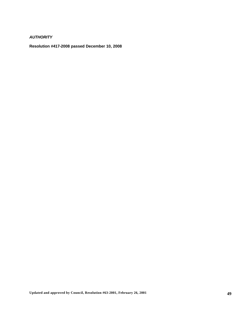*AUTHORITY*

**Resolution #417-2008 passed December 10, 2008**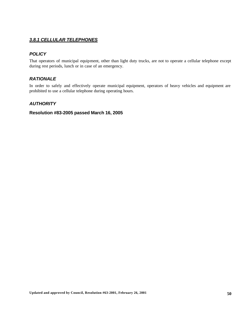# *3.8.1 CELLULAR TELEPHONES*

# *POLICY*

That operators of municipal equipment, other than light duty trucks, are not to operate a cellular telephone except during rest periods, lunch or in case of an emergency.

# *RATIONALE*

In order to safely and effectively operate municipal equipment, operators of heavy vehicles and equipment are prohibited to use a cellular telephone during operating hours.

# *AUTHORITY*

### **Resolution #83-2005 passed March 16, 2005**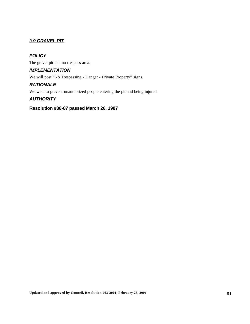# *3.9 GRAVEL PIT*

# *POLICY*

The gravel pit is a no trespass area.

# *IMPLEMENTATION*

We will post "No Trespassing - Danger - Private Property" signs.

### *RATIONALE*

We wish to prevent unauthorized people entering the pit and being injured.

### *AUTHORITY*

### **Resolution #88-87 passed March 26, 1987**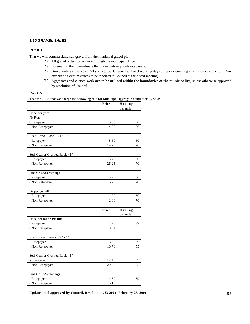#### *3.10 GRAVEL SALES*

#### *POLICY*

That we will commercially sell gravel from the municipal gravel pit.

- ? ? All gravel orders to be made through the municipal office,
- ? ? Foreman to then co-ordinate the gravel delivery with ratepayers.
- ? ? Gravel orders of less than 50 yards to be delivered within 3 working days unless extenuating circumstances prohibit. Any extenuating circumstances to be reported to Council at their next meeting.
- ? ? Aggregates and custom work **are to be utilized within the boundaries of the municipality**, unless otherwise approved by resolution of Council.

#### *RATES*

That for 2010, that we charge the following rate for Municipal aggregate commercially sold:

|                                | Price       | <b>Hauling</b> |
|--------------------------------|-------------|----------------|
|                                |             | per mile       |
| Price per yard                 |             |                |
| Pit Run                        |             |                |
| - Ratepayer                    | 3.50        | .50            |
| - Non Ratepayer                | 4.50        | .70            |
|                                |             |                |
| Road Gravel/Base - 3/4" - 1"   |             |                |
| - Ratepayer                    | 8.50        | .50            |
| - Non Ratepayer                | 14.25       | .70            |
| Seal Coat or Crushed Rock - 1" |             |                |
| - Ratepayer                    | 15.75       | .50            |
| - Non Ratepayer                | 26.25       | .70            |
|                                |             |                |
| Fine Crush/Screenings          |             |                |
| - Ratepayer                    | 5.25        | .50            |
| - Non Ratepayer                | 6.25        | .70            |
|                                |             |                |
| Strippings/Fill                |             |                |
| - Ratepayer                    | 1.00        | .50            |
| - Non Ratepayer                | 2.00<br>.70 |                |
|                                |             |                |
|                                | Price       | <b>Hauling</b> |
|                                |             | per mile       |
| Price per tonne Pit Run        |             |                |
| - Ratepayer                    | 2.75        | .39            |
| - Non Ratepayer                | 3.54        | .55            |
| Road Gravel/Base - 3/4" - 1"   |             |                |
| - Ratepayer                    | 6.60        | .39            |
| - Non Ratepayer                | 10.70       | .55            |
|                                |             |                |
| Seal Coat or Crushed Rock - 1" |             |                |
| - Ratepayer                    | 12.40       | .39            |
| - Non Ratepayer                | 20.65       | .55            |
|                                |             |                |
| Fine Crush/Screenings          |             |                |
| - Ratepayer                    | 4.39        | .39            |
| - Non Ratepayer                | 5.18        | .55            |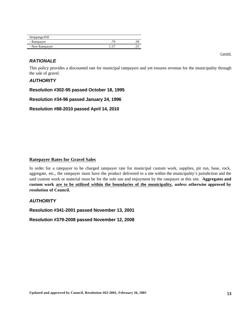| Strippings/Fill |    |  |
|-----------------|----|--|
| - Ratepayer     | 76 |  |
| - Non Ratepayer |    |  |

# *RATIONALE*

This policy provides a discounted rate for municipal ratepayers and yet ensures revenue for the municipality through the sale of gravel.

### *AUTHORITY*

**Resolution #302-95 passed October 18, 1995**

**Resolution #34-96 passed January 24, 1996**

**Resolution #88-2010 passed April 14, 2010**

#### **Ratepayer Rates for Gravel Sales**

In order for a ratepayer to be charged ratepayer rate for municipal custom work, supplies, pit run, base, rock, aggregate, etc., the ratepayer must have the product delivered to a site within the municipality's jurisdiction and the said custom work or material must be for the sole use and enjoyment by the ratepayer at this site. **Aggregates and custom work are to be utilized within the boundaries of the municipality, unless otherwise approved by resolution of Council.**

### *AUTHORITY*

**Resolution #341-2001 passed November 13, 2001**

**Resolution #379-2008 passed November 12, 2008**

Carried.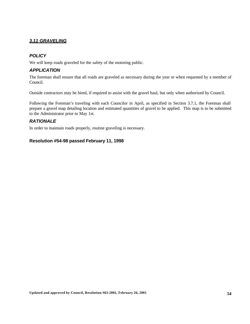# *3.11 GRAVELING*

# *POLICY*

We will keep roads graveled for the safety of the motoring public.

### *APPLICATION*

The foreman shall ensure that all roads are graveled as necessary during the year or when requested by a member of Council.

Outside contractors may be hired, if required to assist with the gravel haul, but only when authorized by Council.

Following the Foreman's traveling with each Councilor in April, as specified in Section 3.7.1, the Foreman shall prepare a gravel map detailing location and estimated quantities of gravel to be applied. This map is to be submitted to the Administrator prior to May 1st.

### *RATIONALE*

In order to maintain roads properly, routine graveling is necessary.

### **Resolution #54-98 passed February 11, 1998**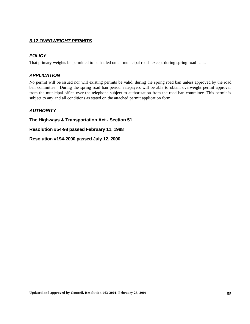# *3.12 OVERWEIGHT PERMITS*

### *POLICY*

That primary weights be permitted to be hauled on all municipal roads except during spring road bans.

### *APPLICATION*

No permit will be issued nor will existing permits be valid, during the spring road ban unless approved by the road ban committee. During the spring road ban period, ratepayers will be able to obtain overweight permit approval from the municipal office over the telephone subject to authorization from the road ban committee. This permit is subject to any and all conditions as stated on the attached permit application form.

# *AUTHORITY*

**The Highways & Transportation Act - Section 51**

**Resolution #54-98 passed February 11, 1998**

**Resolution #194-2000 passed July 12, 2000**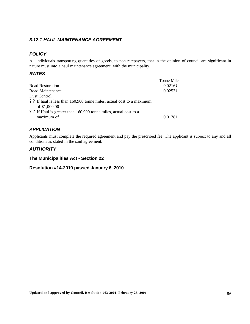# *3.12.1 HAUL MAINTENANCE AGREEMENT*

# *POLICY*

All individuals transporting quantities of goods, to non ratepayers, that in the opinion of council are significant in nature must into a haul maintenance agreement with the municipality.

# *RATES*

|                                                                        | Tonne Mile   |
|------------------------------------------------------------------------|--------------|
| Road Restoration                                                       | 0.0216c      |
| Road Maintenance                                                       | $0.0253\phi$ |
| Dust Control                                                           |              |
| ? ? If haul is less than 160,900 tonne miles, actual cost to a maximum |              |
| of \$1,000.00                                                          |              |
| ? ? If Haul is greater than 160,900 tonne miles, actual cost to a      |              |
| maximum of                                                             | 0.0178c      |

# *APPLICATION*

Applicants must complete the required agreement and pay the prescribed fee. The applicant is subject to any and all conditions as stated in the said agreement.

# *AUTHORITY*

### **The Municipalities Act - Section 22**

### **Resolution #14-2010 passed January 6, 2010**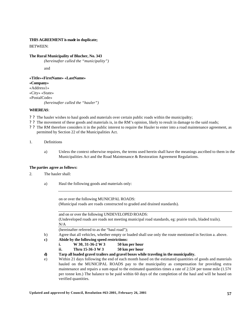#### **THIS AGREEMENT is made in duplicate;**

BETWEEN:

#### **The Rural Municipality of Blucher, No. 343**

*(hereinafter called the "municipality")*

and

**«Title»«FirstName» «LastName» «Company»** «Address1» «City» «State» «PostalCode» *(hereinafter called the "hauler")*

#### **WHEREAS**:

- ? ? The hauler wishes to haul goods and materials over certain public roads within the municipality;
- ? ? The movement of these goods and materials is, in the RM's opinion, likely to result in damage to the said roads;
- ? ? The RM therefore considers it in the public interest to require the Hauler to enter into a road maintenance agreement, as permitted by Section 22 of the Municipalities Act.
- 1. Definitions
	- a) Unless the context otherwise requires, the terms used herein shall have the meanings ascribed to them in the Municipalities Act and the Road Maintenance & Restoration Agreement Regulations.

#### **The parties agree as follows:**

- 2. The hauler shall:
	- a) Haul the following goods and materials only:

on or over the following MUNICIPAL ROADS: (Municipal roads are roads constructed to graded and drained standards).

and on or over the following UNDEVELOPED ROADS: (Undeveloped roads are roads not meeting municipal road standards, eg: prairie trails, bladed trails).  $\rm N/A$ 

(hereinafter referred to as the "haul road");

- b) Agree that all vehicles, whether empty or loaded shall use only the route mentioned in Section a. above.
- **c) Abide by the following speed restrictions:**
	- **i. W 30, 31-36-2 W 3 50 km per hour**
	- **ii. Thru 15-36-3 W 3 50 km per hour**

**d) Tarp all loaded gravel trailers and gravel boxes while traveling in the municipality.**

e) Within 21 days following the end of each month based on the estimated quantities of goods and materials hauled on the MUNICIPAL ROADS pay to the municipality as compensation for providing extra maintenance and repairs a sum equal to the estimated quantities times a rate of 2.53 $\varphi$  per tonne mile (1.57 $\varphi$ ) per tonne km.) The balance to be paid within 60 days of the completion of the haul and will be based on verified quantities.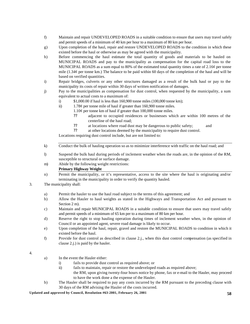- f) Maintain and repair UNDEVELOPED ROADS in a suitable condition to ensure that users may travel safely and permit speeds of a minimum of 40 km per hour to a maximum of 80 km per hour.
- g) Upon completion of the haul, repair and restore UNDEVELOPED ROADS to the condition in which these existed before the haul or otherwise as may be agreed with the municipality.
- h) Before commencing the haul estimate the total quantity of goods and materials to be hauled on MUNICIPAL ROADS and pay to the municipality as compensation for the capital road loss to the MUNICIPAL ROADS as a sum equal to 80% of the estimated total quantity times a rate of 2.16¢ per tonne mile  $(1.34¢$  per tonne km.) The balance to be paid within 60 days of the completion of the haul and will be based on verified quantities.
- i) Repair bridges, culverts or any other structures damaged as a result of the bulk haul or pay to the municipality its costs of repair within 30 days of written notification of damages.
- j) Pay to the municipalities as compensation for dust control, when requested by the municipality, a sum equivalent to actual costs to a maximum of:
	- i) \$1,000.00 if haul is less than 160,900 tonne miles (100,000 tonne km);
	- ii) 1.78¢ per tonne mile of haul if greater than 160,900 tonne miles.
		- 1.10¢ per tonne km of haul if greater than 100,000 tonne miles.
			- ?? adjacent to occupied residences or businesses which are within 100 metres of the centerline of the haul road;
			- ?? at locations where road dust may be dangerous to public safety; and
			- ?? at other locations deemed by the municipality to require dust control.

Locations requiring dust control include, but are not limited to:

- k) Conduct the bulk of hauling operation so as to minimize interference with traffic on the haul road; and
- l) Suspend the bulk haul during periods of inclement weather when the roads are, in the opinion of the RM, susceptible to structural or surface damage.
- m) Abide by the following weight restrictions:
	- **Primary Highway Weight**
- n) Permit the municipality, or it's representative, access to the site where the haul is originating and/or terminating in the municipality in order to verify the quantity hauled.
- 3. The municipality shall:
	- a) Permit the hauler to use the haul road subject to the terms of this agreement; and
	- b) Allow the Hauler to haul weights as stated in the Highways and Transportation Act and pursuant to Section 2 m).
	- c) Maintain and repair MUNICIPAL ROADS in a suitable condition to ensure that users may travel safely and permit speeds of a minimum of 65 km per to a maximum of 80 km per hour.
	- d) Reserve the right to stop hauling operation during times of inclement weather when, in the opinion of Council or an appointed agent, severe road damage is likely to occur.
	- e) Upon completion of the haul, repair, gravel and restore the MUNICIPAL ROADS to condition in which it existed before the haul.
	- f) Provide for dust control as described in clause 2.j., when this dust control compensation (as specified in clause 2.j.) is paid by the hauler.

#### 4.

- a) In the event the Hauler either:
	- i) fails to provide dust control as required above; or
	- ii) fails to maintain, repair or restore the undeveloped roads as required above;
		- the RM, upon giving twenty-four hours notice by phone, fax or e-mail to the Hauler, may proceed to have the work done a the expense of the Hauler.
- b) The Hauler shall be required to pay any costs incurred by the RM pursuant to the preceding clause with 30 days of the RM advising the Hauler of the costs incurred.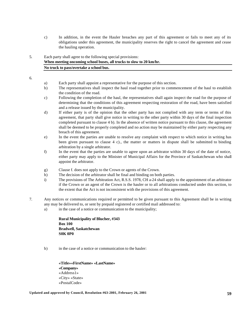c) In addition, in the event the Hauler breaches any part of this agreement or fails to meet any of its obligations under this agreement, the municipality reserves the right to cancel the agreement and cease the hauling operation.

### 5. Each party shall agree to the following special provisions: **When meeting oncoming school buses, all trucks to slow to 20 km/hr. No truck to pass/overtake a school bus.**

6.

- a) Each party shall appoint a representative for the purpose of this section.
- b) The representatives shall inspect the haul road together prior to commencement of the haul to establish the condition of the road.
- c) Following the completion of the haul, the representatives shall again inspect the road for the purpose of determining that the conditions of this agreement respecting restoration of the road, have been satisfied and a release issued by the municipality.
- d) If either party is of the opinion that the other party has not complied with any term or terms of this agreement, that party shall give notice in writing to the other party within 30 days of the final inspection completed pursuant to clause 4 b). In the absence of written notice pursuant to this clause, the agreement shall be deemed to be properly completed and no action may be maintained by either party respecting any breach of this agreement.
- e) In the event the parties are unable to resolve any complaint with respect to which notice in writing has been given pursuant to clause 4 c)., the matter or matters in dispute shall be submitted to binding arbitration by a single arbitrator.
- f) In the event that the parties are unable to agree upon an arbitrator within 30 days of the date of notice, either party may apply to the Minister of Municipal Affairs for the Province of Saskatchewan who shall appoint the arbitrator.
- g) Clause f. does not apply to the Crown or agents of the Crown.
- h) The decision of the arbitrator shall be final and binding on both parties.
- i) The provisions of The Arbitration Act, R.S.S. 1978, CH a-24 shall apply to the appointment of an arbitrator if the Crown or an agent of the Crown is the hauler or to all arbitrations conducted under this section, to the extent that the Act is not inconsistent with the provisions of this agreement.
- 7. Any notices or communications required or permitted to be given pursuant to this Agreement shall be in writing any may be delivered to, or sent by prepaid registered or certified mail addressed to:
	- a) in the case of a notice or communication to the municipality;

**Rural Municipality of Blucher, #343 Box 100 Bradwell, Saskatchewan S0K 0P0**

b) in the case of a notice or communication to the hauler:

**«Title»«FirstName» «LastName» «Company»** «Address1» «City» «State» «PostalCode»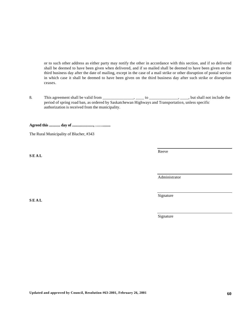or to such other address as either party may notify the other in accordance with this section, and if so delivered shall be deemed to have been given when delivered, and if so mailed shall be deemed to have been given on the third business day after the date of mailing, except in the case of a mail strike or other disruption of postal service in which case it shall be deemed to have been given on the third business day after such strike or disruption ceases.

8. This agreement shall be valid from \_\_\_\_\_\_\_\_\_\_\_\_\_\_\_, \_\_\_\_ to \_\_\_\_\_\_\_\_\_\_\_\_\_\_, \_\_\_\_, but shall not include the period of spring road ban, as ordered by Saskatchewan Highways and Transportation, unless specific authorization is received from the municipality.

**Agreed this ............ day of ......................., ……........**

The Rural Municipality of Blucher, #343

**S E A L**

**S E A L**

Reeve

Administrator

Signature

Signature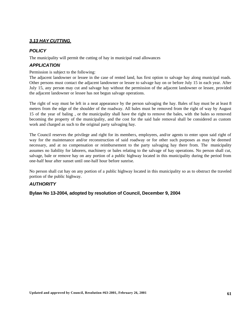# *3.13 HAY CUTTING,*

### *POLICY*

The municipality will permit the cutting of hay in municipal road allowances

### *APPLICATION*

Permission is subject to the following:

The adjacent landowner or lessee in the case of rented land, has first option to salvage hay along municipal roads. Other persons must contact the adjacent landowner or lessee to salvage hay on or before July 15 in each year. After July 15, any person may cut and salvage hay without the permission of the adjacent landowner or lessee, provided the adjacent landowner or lessee has not begun salvage operations.

The right of way must be left in a neat appearance by the person salvaging the hay. Bales of hay must be at least 8 meters from the edge of the shoulder of the roadway. All bales must be removed from the right of way by August 15 of the year of baling , or the municipality shall have the right to remove the bales, with the bales so removed becoming the property of the municipality, and the cost for the said bale removal shall be considered as custom work and charged as such to the original party salvaging hay.

The Council reserves the privilege and right for its members, employees, and/or agents to enter upon said right of way for the maintenance and/or reconstruction of said roadway or for other such purposes as may be deemed necessary, and at no compensation or reimbursement to the party salvaging hay there from. The municipality assumes no liability for laborers, machinery or bales relating to the salvage of hay operations. No person shall cut, salvage, bale or remove hay on any portion of a public highway located in this municipality during the period from one-half hour after sunset until one-half hour before sunrise.

No person shall cut hay on any portion of a public highway located in this municipality so as to obstruct the traveled portion of the public highway.

# *AUTHORITY*

**Bylaw No 13-2004, adopted by resolution of Council, December 9, 2004**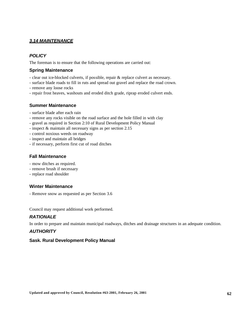# *3.14 MAINTENANCE*

# *POLICY*

The foreman is to ensure that the following operations are carried out:

### **Spring Maintenance**

- clear out ice-blocked culverts, if possible, repair & replace culvert as necessary.
- surface blade roads to fill in ruts and spread out gravel and replace the road crown.
- remove any loose rocks
- repair frost heaves, washouts and eroded ditch grade, riprap eroded culvert ends.

### **Summer Maintenance**

- surface blade after each rain
- remove any rocks visible on the road surface and the hole filled in with clay
- gravel as required in Section 2:10 of Rural Development Policy Manual
- inspect & maintain all necessary signs as per section 2.15
- control noxious weeds on roadway
- inspect and maintain all bridges
- if necessary, perform first cut of road ditches

### **Fall Maintenance**

- mow ditches as required.
- remove brush if necessary
- replace road shoulder

### **Winter Maintenance**

- Remove snow as requested as per Section 3.6

Council may request additional work performed.

# *RATIONALE*

In order to prepare and maintain municipal roadways, ditches and drainage structures in an adequate condition.

# *AUTHORITY*

### **Sask. Rural Development Policy Manual**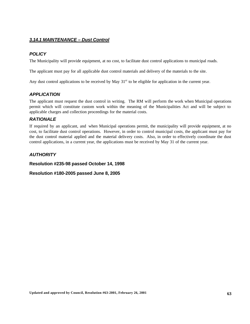# *3.14.1 MAINTENANCE – Dust Control*

# *POLICY*

The Municipality will provide equipment, at no cost, to facilitate dust control applications to municipal roads.

The applicant must pay for all applicable dust control materials and delivery of the materials to the site.

Any dust control applications to be received by May  $31<sup>st</sup>$  to be eligible for application in the current year.

# *APPLICATION*

The applicant must request the dust control in writing. The RM will perform the work when Municipal operations permit which will constitute custom work within the meaning of the Municipalities Act and will be subject to applicable charges and collection proceedings for the material costs.

# *RATIONALE*

If required by an applicant, and when Municipal operations permit, the municipality will provide equipment, at no cost, to facilitate dust control operations. However, in order to control municipal costs, the applicant must pay for the dust control material applied and the material delivery costs. Also, in order to effectively coordinate the dust control applications, in a current year, the applications must be received by May 31 of the current year.

# *AUTHORITY*

**Resolution #235-98 passed October 14, 1998**

### **Resolution #180-2005 passed June 8, 2005**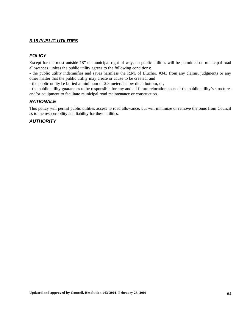### *3.15 PUBLIC UTILITIES*

### *POLICY*

Except for the most outside 18" of municipal right of way, no public utilities will be permitted on municipal road allowances, unless the public utility agrees to the following conditions:

- the public utility indemnifies and saves harmless the R.M. of Blucher, #343 from any claims, judgments or any other matter that the public utility may create or cause to be created; and

- the public utility be buried a minimum of 2.8 meters below ditch bottom, or;

- the public utility guarantees to be responsible for any and all future relocation costs of the public utility's structures and/or equipment to facilitate municipal road maintenance or construction.

# *RATIONALE*

This policy will permit public utilities access to road allowance, but will minimize or remove the onus from Council as to the responsibility and liability for these utilities.

### *AUTHORITY*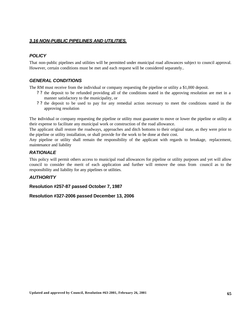### *3.16 NON-PUBLIC PIPELINES AND UTILITIES.*

# *POLICY*

That non-public pipelines and utilities will be permitted under municipal road allowances subject to council approval. However, certain conditions must be met and each request will be considered separately..

# *GENERAL CONDITIONS*

The RM must receive from the individual or company requesting the pipeline or utility a \$1,000 deposit.

- ? ? the deposit to be refunded providing all of the conditions stated in the approving resolution are met in a manner satisfactory to the municipality, or
- ? ? the deposit to be used to pay for any remedial action necessary to meet the conditions stated in the approving resolution

The individual or company requesting the pipeline or utility must guarantee to move or lower the pipeline or utility at their expense to facilitate any municipal work or construction of the road allowance.

The applicant shall restore the roadways, approaches and ditch bottoms to their original state, as they were prior to the pipeline or utility installation, or shall provide for the work to be done at their cost.

Any pipeline or utility shall remain the responsibility of the applicant with regards to breakage, replacement, maintenance and liability

### *RATIONALE*

This policy will permit others access to municipal road allowances for pipeline or utility purposes and yet will allow council to consider the merit of each application and further will remove the onus from council as to the responsibility and liability for any pipelines or utilities.

### *AUTHORITY*

**Resolution #257-87 passed October 7, 1987**

**Resolution #327-2006 passed December 13, 2006**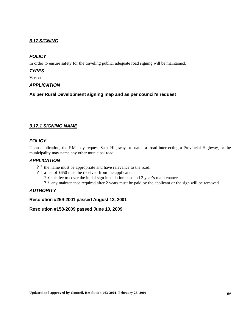# *3.17 SIGNING*

# *POLICY*

In order to ensure safety for the traveling public, adequate road signing will be maintained.

### *TYPES*

Various

# *APPLICATION*

**As per Rural Development signing map and as per council's request**

# *3.17.1 SIGNING NAME*

### *POLICY*

Upon application, the RM may request Sask Highways to name a road intersecting a Provincial Highway, or the municipality may name any other municipal road.

### *APPLICATION*

- ? ? the name must be appropriate and have relevance to the road.
- ? ? a fee of \$650 must be received from the applicant.
	- ? ? this fee to cover the initial sign installation cost and 2 year's maintenance.
	- ? ? any maintenance required after 2 years must be paid by the applicant or the sign will be removed.

# *AUTHORITY*

### **Resolution #259-2001 passed August 13, 2001**

**Resolution #158-2009 passed June 10, 2009**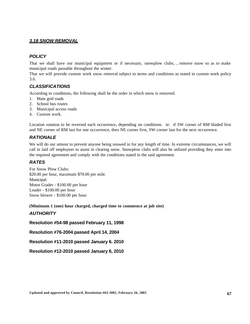### *3.18 SNOW REMOVAL*

# *POLICY*

That we shall have our municipal equipment or if necessary, snowplow clubs, , remove snow so as to make municipal roads passable throughout the winter.

That we will provide custom work snow removal subject to terms and conditions as stated in custom work policy 3.6.

### *CLASSIFICATIONS*

According to conditions, the following shall be the order in which snow is removed.

- 1. Main grid roads
- 2. School bus routes
- 3. Municipal access roads
- 4. Custom work.

Location rotation to be reversed each occurrence, depending on conditions. ie: if SW corner of RM bladed first and NE corner of RM last for one occurrence, then NE corner first, SW corner last for the next occurrence.

# *RATIONALE*

We will do our utmost to prevent anyone being snowed in for any length of time. In extreme circumstances, we will call in laid off employees to assist in clearing snow. Snowplow clubs will also be utilized providing they enter into the required agreement and comply with the conditions stated in the said agreement.

### *RATES*

For Snow Plow Clubs: \$20.00 per hour, maximum \$70.00 per mile. Municipal: Motor Grader - \$100.00 per hour Loader - \$100.00 per hour Snow blower - \$100.00 per hour

**(Minimum 1 (one) hour charged, charged time to commence at job site)**

### *AUTHORITY*

**Resolution #54-98 passed February 11, 1998**

**Resolution #76-2004 passed April 14, 2004**

**Resolution #11-2010 passed January 6. 2010**

**Resolution #12-2010 passed January 6, 2010**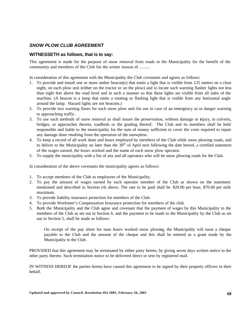# *SNOW PLOW CLUB AGREEMENT*

### **WITNESSETH as follows, that is to say:**

This agreement is made for the purpose of snow removal from roads in the Municipality for the benefit of the community and members of the Club for the winter season of ..........

In consideration of this agreement with the Municipality the Club covenants and agrees as follows:

- 1. To provide and install one or more amber beacon(s) that emits a light that is visible from 125 meters on a clear night, on each plow unit (either on the tractor or on the plow) and to locate such warning flasher lights not less than eight feet above the road level and in such a manner so that these lights are visible from all sides of the machine. (A beacon is a lamp that emits a rotating or flashing light that is visible from any horizontal angle around the lamp. Hazard lights are not beacons.)
- 2. To provide two warning flares for each snow plow unit for use in case of an emergency as to danger warning to approaching traffic.
- 3. To use such methods of snow removal as shall insure the preservation, without damage or injury, to culverts, bridges, or approaches thereto, roadbeds or the grading thereof. The Club and its members shall be held responsible and liable to the municipality for the sum of money sufficient to cover the costs required to repair any damage done resulting from the operation of the snowplow.
- 4. To keep a record of all work done and hours employed by members of the Club while snow plowing roads, and to deliver to the Municipality no later than the  $30<sup>th</sup>$  of April next following the date hereof, a certified statement of the wages earned, the hours worked and the name of each snow plow operator.
- 5. To supply the municipality with a list of any and all operators who will be snow plowing roads for the Club.

In consideration of the above covenants the municipality agrees as follows:

- 1. To accept members of the Club as employees of the Municipality.
- 2. To pay the amount of wages earned by each operator member of the Club as shown on the statement mentioned and described in Section (4) above. The rate to be paid shall be \$20.00 per hour, \$70.00 per mile maximum.
- 3. To provide liability insurance protection for members of the Club.
- 4. To provide Workmen's Compensation Insurance protection for members of the club.
- 5. Both the Municipality and the Club agree and covenant that the payment of wages by this Municipality to the members of the Club as set out in Section b. and the payment to be made to the Municipality by the Club as set out in Section 5, shall be made as follows:

On receipt of the pay sheet for man hours worked snow plowing, the Municipality will issue a cheque payable to the Club and the amount of the cheque and this shall be entered as a grant made by the Municipality to the Club.

PROVIDED that this agreement may be terminated by either party hereto, by giving seven days written notice to the other party thereto. Such termination notice to be delivered direct or sent by registered mail.

IN WITNESS HEREOF the parties hereto have caused this agreement to be signed by their property officers in their behalf.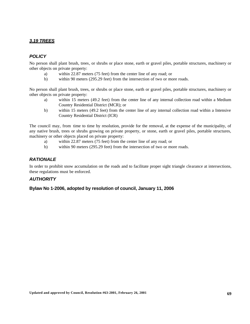# *3.19 TREES*

# *POLICY*

No person shall plant brush, trees, or shrubs or place stone, earth or gravel piles, portable structures, machinery or other objects on private property:

- a) within 22.87 meters (75 feet) from the center line of any road; or
- b) within 90 meters (295.29 feet) from the intersection of two or more roads.

No person shall plant brush, trees, or shrubs or place stone, earth or gravel piles, portable structures, machinery or other objects on private property:

- a) within 15 meters (49.2 feet) from the center line of any internal collection road within a Medium Country Residential District (MCR); or
- b) within 15 meters (49.2 feet) from the center line of any internal collection road within a Intensive Country Residential District (ICR)

The council may, from time to time by resolution, provide for the removal, at the expense of the municipality, of any native brush, trees or shrubs growing on private property, or stone, earth or gravel piles, portable structures, machinery or other objects placed on private property:

- a) within 22.87 meters (75 feet) from the center line of any road; or
- b) within 90 meters (295.29 feet) from the intersection of two or more roads.

### *RATIONALE*

In order to prohibit snow accumulation on the roads and to facilitate proper sight triangle clearance at intersections, these regulations must be enforced.

### *AUTHORITY*

**Bylaw No 1-2006, adopted by resolution of council, January 11, 2006**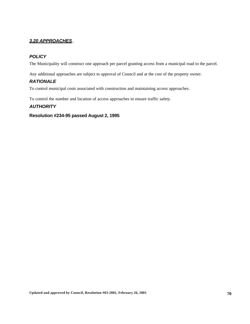# *3.20 APPROACHES*..

# *POLICY*

The Municipality will construct one approach per parcel granting access from a municipal road to the parcel.

Any additional approaches are subject to approval of Council and at the cost of the property owner.

# *RATIONALE*

To control municipal costs associated with construction and maintaining access approaches.

To control the number and location of access approaches to ensure traffic safety.

### *AUTHORITY*

### **Resolution #234-95 passed August 2, 1995**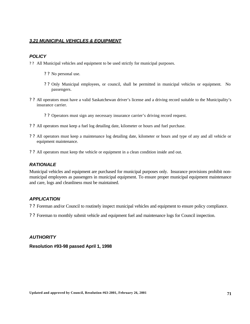### *3.21 MUNICIPAL VEHICLES & EQUIPMENT*

### *POLICY*

- ? ? All Municipal vehicles and equipment to be used strictly for municipal purposes.
	- ? ? No personal use.
	- ? ? Only Municipal employees, or council, shall be permitted in municipal vehicles or equipment. No passengers.
- ? ? All operators must have a valid Saskatchewan driver's license and a driving record suitable to the Municipality's insurance carrier.
	- ? ? Operators must sign any necessary insurance carrier's driving record request.
- ? ? All operators must keep a fuel log detailing date, kilometer or hours and fuel purchase.
- ? ? All operators must keep a maintenance log detailing date, kilometer or hours and type of any and all vehicle or equipment maintenance.
- ? ? All operators must keep the vehicle or equipment in a clean condition inside and out.

### *RATIONALE*

Municipal vehicles and equipment are purchased for municipal purposes only. Insurance provisions prohibit nonmunicipal employees as passengers in municipal equipment. To ensure proper municipal equipment maintenance and care, logs and cleanliness must be maintained.

### *APPLICATION*

? ? Foreman and/or Council to routinely inspect municipal vehicles and equipment to ensure policy compliance.

? ? Foreman to monthly submit vehicle and equipment fuel and maintenance logs for Council inspection.

### *AUTHORITY*

**Resolution #93-98 passed April 1, 1998**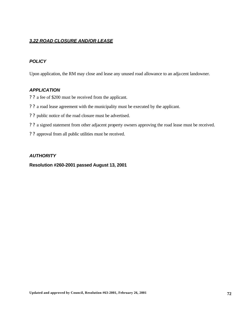### *3.22 ROAD CLOSURE AND/OR LEASE*

# *POLICY*

Upon application, the RM may close and lease any unused road allowance to an adja cent landowner.

### *APPLICATION*

- ? ? a fee of \$200 must be received from the applicant.
- ? ? a road lease agreement with the municipality must be executed by the applicant.
- ? ? public notice of the road closure must be advertised.
- ? ? a signed statement from other adjacent property owners approving the road lease must be received.
- ? ? approval from all public utilities must be received.

### *AUTHORITY*

### **Resolution #260-2001 passed August 13, 2001**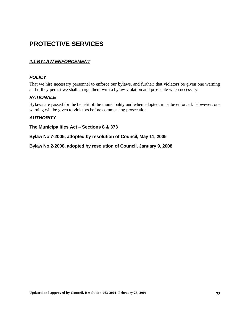# **PROTECTIVE SERVICES**

# *4.1 BYLAW ENFORCEMENT*

# *POLICY*

That we hire necessary personnel to enforce our bylaws, and further; that violators be given one warning and if they persist we shall charge them with a bylaw violation and prosecute when necessary.

# *RATIONALE*

Bylaws are passed for the benefit of the municipality and when adopted, must be enforced. However, one warning will be given to violators before commencing prosecution.

## *AUTHORITY*

**The Municipalities Act – Sections 8 & 373**

**Bylaw No 7-2005, adopted by resolution of Council, May 11, 2005**

**Bylaw No 2-2008, adopted by resolution of Council, January 9, 2008**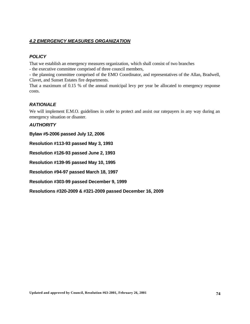# *4.2 EMERGENCY MEASURES ORGANIZATION*

# *POLICY*

That we establish an emergency measures organization, which shall consist of two branches

- the executive committee comprised of three council members,

- the planning committee comprised of the EMO Coordinator, and representatives of the Allan, Bradwell, Clavet, and Sunset Estates fire departments.

That a maximum of 0.15 % of the annual municipal levy per year be allocated to emergency response costs.

# *RATIONALE*

We will implement E.M.O. guidelines in order to protect and assist our ratepayers in any way during an emergency situation or disaster.

# *AUTHORITY*

**Bylaw #5-2006 passed July 12, 2006**

**Resolution #113-93 passed May 3, 1993**

**Resolution #126-93 passed June 2, 1993**

**Resolution #139-95 passed May 10, 1995**

**Resolution #94-97 passed March 18, 1997**

**Resolution #303-99 passed December 9, 1999**

**Resolutions #320-2009 & #321-2009 passed December 16, 2009**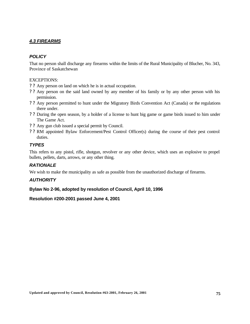# *4.3 FIREARMS*

# *POLICY*

That no person shall discharge any firearms within the limits of the Rural Municipality of Blucher, No. 343, Province of Saskatchewan

## EXCEPTIONS:

- ? ? Any person on land on which he is in actual occupation.
- ? ? Any person on the said land owned by any member of his family or by any other person with his permission.
- ? ? Any person permitted to hunt under the Migratory Birds Convention Act (Canada) or the regulations there under.
- ? ? During the open season, by a holder of a license to hunt big game or game birds issued to him under The Game Act.
- ? ? Any gun club issued a special permit by Council.
- ? ? RM appointed Bylaw Enforcement/Pest Control Officer(s) during the course of their pest control duties.

## *TYPES*

This refers to any pistol, rifle, shotgun, revolver or any other device, which uses an explosive to propel bullets, pellets, darts, arrows, or any other thing.

## *RATIONALE*

We wish to make the municipality as safe as possible from the unauthorized discharge of firearms.

## *AUTHORITY*

**Bylaw No 2-96, adopted by resolution of Council, April 10, 1996**

**Resolution #200-2001 passed June 4, 2001**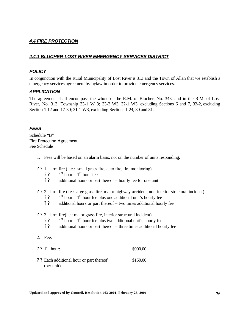# *4.4 FIRE PROTECTION*

# *4.4.1 BLUCHER-LOST RIVER EMERGENCY SERVICES DISTRICT*

## *POLICY*

In conjunction with the Rural Municipality of Lost River # 313 and the Town of Allan that we establish a emergency services agreement by bylaw in order to provide emergency services.

## *APPLICATION*

The agreement shall encompass the whole of the R.M. of Blucher, No. 343, and in the R.M. of Lost River, No. 313, Township 33-1 W 3; 33-2 W3, 32-1 W3, excluding Sections 6 and 7, 32-2, excluding Section 1-12 and 17-30; 31-1 W3, excluding Sections 1-24, 30 and 31.

## *FEES*

Schedule "B" Fire Protection Agreement Fee Schedule

- 1. Fees will be based on an alarm basis, not on the number of units responding.
- ? ? 1 alarm fire ( i.e.: small grass fire, auto fire, fire monitoring)
	- ? ?  $1<sup>st</sup>$  hour –  $1<sup>st</sup>$  hour fee
	- ? ? additional hours or part thereof hourly fee for one unit

? ? 2 alarm fire (i.e.: large grass fire, major highway accident, non-interior structural incident)

- ? ?  $1<sup>st</sup>$  hour –  $1<sup>st</sup>$  hour fee plus one additional unit's hourly fee
- ? ? additional hours or part thereof two times additional hourly fee

## ? ? 3 alarm fire(i.e.: major grass fire, interior structural incident)

- ? ?  $1<sup>st</sup>$  hour –  $1<sup>st</sup>$  hour fee plus two additional unit's hourly fee
- ? ? additional hours or part thereof three times additional hourly fee
- 2. Fee:
- $?$  ? 1<sup>st</sup> hour: \$900.00
- ? ? Each additional hour or part thereof \$150.00 (per unit)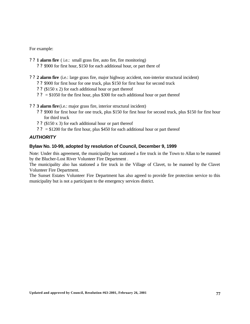For example:

- ? ? **1 alarm fire** ( i.e.: small grass fire, auto fire, fire monitoring)
	- ? ? \$900 for first hour, \$150 for each additional hour, or part there of
- ? ? **2 alarm fire** (i.e.: large grass fire, major highway accident, non-interior structural incident)
	- ? ? \$900 for first hour for one truck, plus \$150 for first hour for second truck
	- ? ? (\$150 x 2) for each additional hour or part thereof
	- ?  $? = $1050$  for the first hour, plus \$300 for each additional hour or part thereof
- ? ? **3 alarm fire**(i.e.: major grass fire, interior structural incident)
	- ? ? \$900 for first hour for one truck, plus \$150 for first hour for second truck, plus \$150 for first hour for third truck
	- ? ? (\$150 x 3) for each additional hour or part thereof
	- ?  $? = $1200$  for the first hour, plus \$450 for each additional hour or part thereof

## *AUTHORITY*

## **Bylaw No. 10-99, adopted by resolution of Council, December 9, 1999**

Note: Under this agreement, the municipality has stationed a fire truck in the Town to Allan to be manned by the Blucher-Lost River Volunteer Fire Department .

The municipality also has stationed a fire truck in the Village of Clavet, to be manned by the Clavet Volunteer Fire Department.

The Sunset Estates Volunteer Fire Department has also agreed to provide fire protection service to this municipality but is not a participant to the emergency services district.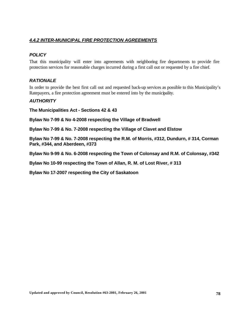# *4.4.2 INTER-MUNICIPAL FIRE PROTECTION AGREEMENTS*

# *POLICY*

That this municipality will enter into agreements with neighboring fire departments to provide fire protection services for reasonable charges incurred during a first call out or requested by a fire chief.

# *RATIONALE*

In order to provide the best first call out and requested back-up services as possible to this Municipality's Ratepayers, a fire protection agreement must be entered into by the municipality.

## *AUTHORITY*

**The Municipalities Act - Sections 42 & 43**

**Bylaw No 7-99 & No 4-2008 respecting the Village of Bradwell**

**Bylaw No 7-99 & No. 7-2008 respecting the Village of Clavet and Elstow**

**Bylaw No 7-99 & No. 7-2008 respecting the R.M. of Morris, #312, Dundurn, # 314, Corman Park, #344, and Aberdeen, #373**

**Bylaw No 9-99 & No. 6-2008 respecting the Town of Colonsay and R.M. of Colonsay, #342**

**Bylaw No 10-99 respecting the Town of Allan, R. M. of Lost River, # 313**

**Bylaw No 17-2007 respecting the City of Saskatoon**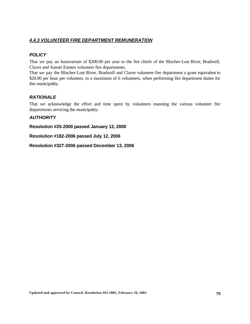# *4.4.3 VOLUNTEER FIRE DEPARTMENT REMUNERATION*

# *POLICY*

That we pay an honorarium of \$200.00 per year to the fire chiefs of the Blucher-Lost River, Bradwell, Clavet and Sunset Estates volunteer fire departments.

That we pay the Blucher-Lost River, Bradwell and Clavet volunteer fire department a grant equivalent to \$20.00 per hour per volunteer, to a maximum of 6 volunteers, when performing fire department duties for this municipality.

## *RATIONALE*

That we acknowledge the effort and time spent by volunteers manning the various volunteer fire departments servicing the municipality.

# *AUTHORITY*

**Resolution #25-2000 passed January 12, 2000**

**Resolution #182-2006 passed July 12, 2006**

**Resolution #327-2006 passed December 13, 2006**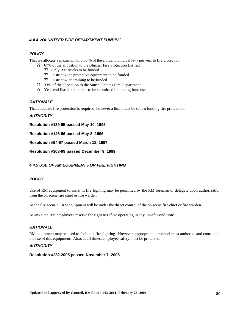#### *4.4.4 VOLUNTEER FIRE DEPARTMENT FUNDING*

## *POLICY*

That we allocate a maximum of 3.60 % of the annual municipal levy per year to fire protection.

- ?? 67% of the allocation to the Blucher Fire Protection District
	- ?? Only RM trucks to be funded
	- ?? District wide protective equipment to be funded
	- ?? District wide training to be funded
- ?? 33% of the allocation to the Sunset Estates Fire Department
- ?? Year end fiscal statements to be submitted indicating fund use

#### *RATIONALE*

That adequate fire protection is required, however a limit must be set on funding fire protection.

#### *AUTHORITY*

**Resolution #139-95 passed May 10, 1995**

**Resolution #146-96 passed May 8, 1996**

**Resolution #94-97 passed March 18, 1997**

**Resolution #303-99 passed December 9, 1999**

#### *4.4.5 USE OF RM EQUIPMENT FOR FIRE FIGHTING*

#### *POLICY*

Use of RM equipment to assist in fire fighting may be permitted by the RM foreman or delegate upon authorization from the on scene fire chief or fire warden.

At the fire scene all RM equipment will be under the direct control of the on scene fire chief or fire warden.

At any time RM employees reserve the right to refuse operating in any unsafe conditions.

#### *RATIONALE*

RM equipment may be used to facilitate fire fighting. However, appropriate personnel must authorize and coordinate the use of this equipment. Also, at all times, employee safety must be protected.

#### *AUTHORITY*

#### **Resolution #282-2005 passed November 7, 2005**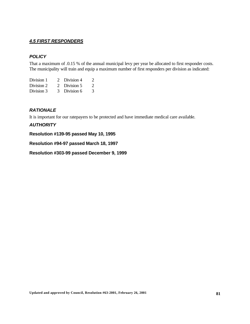## *4.5 FIRST RESPONDERS*

## *POLICY*

That a maximum of .0.15 % of the annual municipal levy per year be allocated to first responder costs. The municipality will train and equip a maximum number of first responders per division as indicated:

| Division 1 | 2 Division 4 |   |
|------------|--------------|---|
| Division 2 | 2 Division 5 | 2 |
| Division 3 | 3 Division 6 | 3 |

## *RATIONALE*

It is important for our ratepayers to be protected and have immediate medical care available.

## *AUTHORITY*

**Resolution #139-95 passed May 10, 1995**

#### **Resolution #94-97 passed March 18, 1997**

**Resolution #303-99 passed December 9, 1999**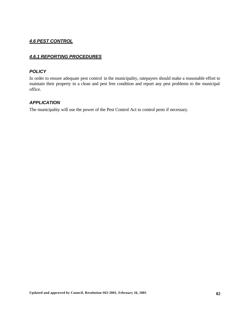# *4.6 PEST CONTROL*

# *4.6.1 REPORTING PROCEDURES*

## *POLICY*

In order to ensure adequate pest control in the municipality, ratepayers should make a reasonable effort to maintain their property in a clean and pest free condition and report any pest problems to the municipal office.

## *APPLICATION*

The municipality will use the power of the Pest Control Act to control pests if necessary.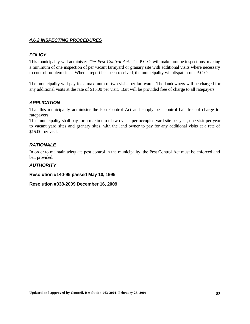# *4.6.2 INSPECTING PROCEDURES*

# *POLICY*

This municipality will administer *The Pest Control Act.* The P.C.O. will make routine inspections, making a minimum of one inspection of per vacant farmyard or granary site with additional visits where necessary to control problem sites. When a report has been received, the municipality will dispatch our P.C.O.

The municipality will pay for a maximum of two visits per farmyard. The landowners will be charged for any additional visits at the rate of \$15.00 per visit. Bait will be provided free of charge to all ratepayers.

## *APPLICATION*

That this municipality administer the Pest Control Act and supply pest control bait free of charge to ratepayers.

This municipality shall pay for a maximum of two visits per occupied yard site per year, one visit per year to vacant yard sites and granary sites, with the land owner to pay for any additional visits at a rate of \$15.00 per visit.

## *RATIONALE*

In order to maintain adequate pest control in the municipality, the Pest Control Act must be enforced and bait provided.

## *AUTHORITY*

## **Resolution #140-95 passed May 10, 1995**

**Resolution #338-2009 December 16, 2009**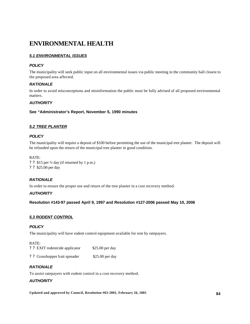# **ENVIRONMENTAL HEALTH**

## *5.1 ENVIRONMENTAL ISSUES*

#### *POLICY*

The municipality will seek public input on all environmental issues via public meeting in the community hall closest to the proposed area affected.

#### *RATIONALE*

In order to avoid misconceptions and misinformation the public must be fully advised of all proposed environmental matters.

#### *AUTHORITY*

#### **See "Administrator's Report, November 5, 1990 minutes**

#### *5.2 TREE PLANTER*

#### *POLICY*

The municipality will require a deposit of \$100 before permitting the use of the municipal tree planter. The deposit will be refunded upon the return of the municipal tree planter in good condition.

#### RATE:

? ? \$15 per ½ day (if returned by 1 p.m.) ? ? \$25.00 per day

## *RATIONALE*

In order to ensure the proper use and return of the tree planter in a cost recovery method.

#### *AUTHORITY*

**Resolution #143-97 passed April 9, 1997 and Resolution #127-2006 passed May 10, 2006**

## *5.3 RODENT CONTROL*

#### *POLICY*

The municipality will have rodent control equipment available for rent by ratepayers.

#### RATE:

| ? ? EXIT rodentcide applicator | \$25.00 per day |
|--------------------------------|-----------------|
|                                |                 |

? ? Grasshopper bait spreader \$25.00 per day

#### *RATIONALE*

To assist ratepayers with rodent control in a cost recovery method.

## *AUTHORITY*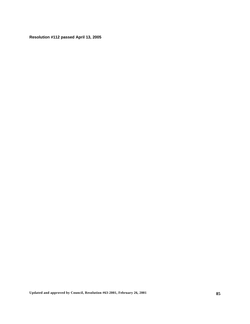**Resolution #112 passed April 13, 2005**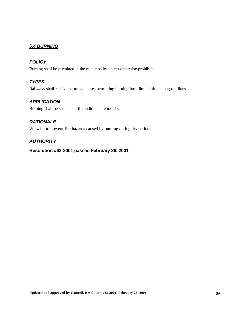# *5.4 BURNING*

# *POLICY*

Burning shall be permitted in the municipality unless otherwise prohibited.

# *TYPES*

Railways shall receive permits/licenses permitting burning for a limited time along rail lines.

## *APPLICATION*

Burning shall be suspended if conditions are too dry.

# *RATIONALE*

We wish to prevent fire hazards caused by burning during dry periods.

## *AUTHORITY*

**Resolution #63-2001 passed February 26, 2001**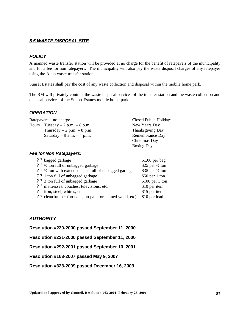## *5.5 WASTE DISPOSAL SITE*

## *POLICY*

A manned waste transfer station will be provided at no charge for the benefit of ratepayers of the municipality and for a fee for non ratepayers. The municipality will also pay the waste disposal charges of any ratepayer using the Allan waste transfer station.

Sunset Estates shall pay the cost of any waste collection and disposal within the mobile home park.

The RM will privately contract the waste disposal services of the transfer station and the waste collection and disposal services of the Sunset Estates mobile home park.

## *OPERATION*

Ratepayers – no charge Closed Public Holidays Hours Tuesday  $-2$  p.m.  $-8$  p.m.  $\blacksquare$  New Years Day Thursday  $-2$  p.m.  $-8$  p.m. Thanksgiving Day Saturday  $-9$  a.m.  $-4$  p.m. Remembrance Day Christmas Day Boxing Day

#### *Fee for Non Ratepayers:*

| ? ? bagged garbage                                         | $$1.00$ per bag            |
|------------------------------------------------------------|----------------------------|
| ? ? ½ ton full of unbagged garbage                         | \$25 per $\frac{1}{2}$ ton |
| ? ? 1/2 ton with extended sides full of unbagged garbage   | \$35 per $\frac{1}{2}$ ton |
| ? ? 1 ton full of unbagged garbage                         | $$50$ per 1 ton            |
| ? ? 3 ton full of unbagged garbage                         | $$100$ per 3 ton           |
| ? ? mattresses, couches, televisions, etc.                 | \$10 per item              |
| ? ? iron, steel, whites, etc.                              | \$15 per item              |
| ? ? clean lumber (no nails, no paint or stained wood, etc) | \$10 per load              |
|                                                            |                            |

# *AUTHORITY*

**Resolution #220-2000 passed September 11, 2000**

**Resolution #221-2000 passed September 11, 2000**

**Resolution #292-2001 passed September 10, 2001**

**Resolution #163-2007 passed May 9, 2007**

**Resolution #323-2009 passed December 16, 2009**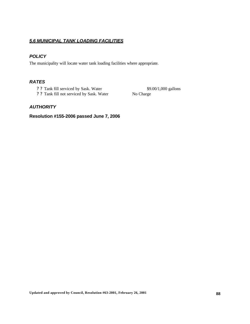## *5.6 MUNICIPAL TANK LOADING FACILITIES*

## *POLICY*

The municipality will locate water tank loading facilities where appropriate.

# *RATES*

- ? ? Tank fill serviced by Sask. Water \$9.00/1,000 gallons
- ? ? Tank fill not serviced by Sask. Water No Charge

## *AUTHORITY*

# **Resolution #155-2006 passed June 7, 2006**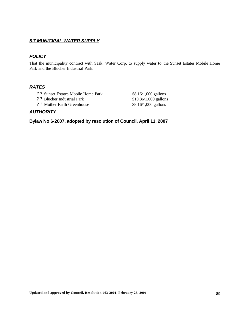## *5.7 MUNICIPAL WATER SUPPLY*

## *POLICY*

That the municipality contract with Sask. Water Corp. to supply water to the Sunset Estates Mobile Home Park and the Blucher Industrial Park.

#### *RATES*

- ? ? Sunset Estates Mobile Home Park \$8.16/1,000 gallons
- ? ? Blucher Industrial Park \$10.86/1,000 gallons
- ? ? Mother Earth Greenhouse \$8.16/1,000 gallons

## *AUTHORITY*

**Bylaw No 6-2007, adopted by resolution of Council, April 11, 2007**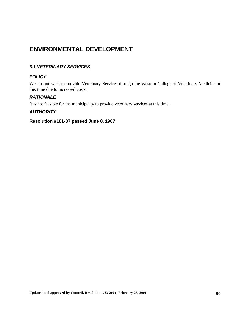# **ENVIRONMENTAL DEVELOPMENT**

# *6.1 VETERINARY SERVICES*

# *POLICY*

We do not wish to provide Veterinary Services through the Western College of Veterinary Medicine at this time due to increased costs.

## *RATIONALE*

It is not feasible for the municipality to provide veterinary services at this time.

## *AUTHORITY*

# **Resolution #181-87 passed June 8, 1987**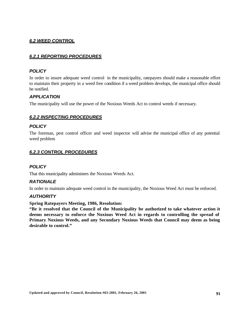## *6.2 WEED CONTROL*

## *6.2.1 REPORTING PROCEDURES*

#### *POLICY*

In order to insure adequate weed control in the municipality, ratepayers should make a reasonable effort to maintain their property in a weed free condition if a weed problem develops, the municipal office should be notified.

## *APPLICATION*

The municipality will use the power of the Noxious Weeds Act to control weeds if necessary.

## *6.2.2 INSPECTING PROCEDURES*

#### *POLICY*

The foreman, pest control officer and weed inspector will advise the municipal office of any potential weed problem

#### *6.2.3 CONTROL PROCEDURES*

#### *POLICY*

That this municipality administers the Noxious Weeds Act.

#### *RATIONALE*

In order to maintain adequate weed control in the municipality, the Noxious Weed Act must be enforced.

#### *AUTHORITY*

## **Spring Ratepayers Meeting, 1986, Resolution:**

**"Be it resolved that the Council of the Municipality be authorized to take whatever action it deems necessary to enforce the Noxious Weed Act in regards to controlling the spread of Primary Noxious Weeds, and any Secondary Noxious Weeds that Council may deem as being desirable to control."**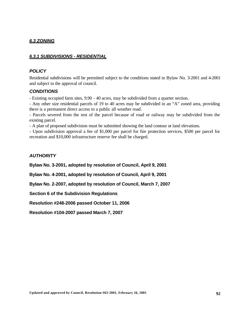## *6.3 ZONING*

## *6.3.1 SUBDIVISIONS - RESIDENTIAL*

#### *POLICY*

Residential subdivisions will be permitted subject to the conditions stated in Bylaw No. 3-2001 and 4-2001 and subject to the approval of council.

## *CONDITIONS*

- Existing occupied farm sites, 9.90 - 40 acres, may be subdivided from a quarter section.

- Any other size residential parcels of 19 to 40 acres may be subdivided in an "A" zoned area, providing there is a permanent direct access to a public all weather road.

- Parcels severed from the rest of the parcel because of road or railway may be subdivided from the existing parcel.

- A plan of proposed subdivision must be submitted showing the land contour or land elevations.

- Upon subdivision approval a fee of \$1,000 per parcel for fire protection services, \$500 per parcel for recreation and \$10,000 infrastructure reserve fee shall be charged.

## *AUTHORITY*

**Bylaw No. 3-2001, adopted by resolution of Council, April 9, 2001**

**Bylaw No. 4-2001, adopted by resolution of Council, April 9, 2001**

**Bylaw No. 2-2007, adopted by resolution of Council, March 7, 2007**

**Section 6 of the Subdivision Regulations**

**Resolution #248-2006 passed October 11, 2006**

**Resolution #104-2007 passed March 7, 2007**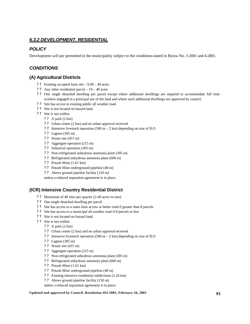## *6.3.2 DEVELOPMENT, RESIDENTIAL*

## *POLICY*

Development will per permitted in the municipality subject to the conditions stated in Bylaw No. 3-2001 and 4-2001.

# *CONDITIONS*

## **(A) Agricultural Districts**

- ? ? Existing occupied farm site 9.90 40 acres
- ? ? Any other residential parcel 19 40 acres
- ? ? One single detached dwelling per parcel except where additional dwellings are required to accommodate full time workers engaged in a principal use of the land and where such additional dwellings are approved by council.
- ? ? Site has access to existing public all weather road.
- ? ? Site is not located on hazard land.
- ? ? Site is not within:
	- ? ? A park (2 km)
	- ? ? Urban center (2 km) and no urban approval received
	- ? ? Intensive livestock operation (500 m 2 km) depending on size of ILO
	- ? ? Lagoon (305 m)
	- ? ? Waste site (457 m)
	- ? ? Aggregate operation (215 m)
	- ? ? Industrial operation (305 m)
	- ? ? Non-refrigerated anhydrous ammonia plant (305 m)
	- ? ? Refrigerated anhydrous ammonia plant (600 m)
	- ? ? Potash Mine (1.61 km)
	- ? ? Potash Mine underground pipeline (48 m)
	- ? ? Above ground pipeline facility (150 m)

unless a reduced separation agreement is in place.

## **(ICR) Intensive Country Residential District**

- ? ? Maximum of 40 sites per quarter (2-40 acres in size)
- ? ? One single detached dwelling per parcel
- ? ? Site has access to a main farm access or better road if greater than 8 parcels
- ? ? Site has access to a municipal all weather road if 8 parcels or less
- ? ? Site is not located on hazard land.
- ? ? Site is not within:
	- ? ? A park (2 km)
	- ? ? Urban center (2 km) and no urban approval received
	- ? ? Intensive livestock operation (500 m 2 km) depending on size of ILO
	- ? ? Lagoon (305 m)
	- ? ? Waste site (457 m)
	- ? ? Aggregate operation (215 m)
	- ? ? Non-refrigerated anhydrous ammonia plant (305 m)
	- ? ? Refrigerated anhydrous ammonia plant (600 m)
	- ? ? Potash Mine (1.61 km)
	- ? ? Potash Mine underground pipeline (48 m)
	- ? ? Existing intensive residential subdivision (1.24 km)
	- ? ? Above ground pipeline facility (150 m)
	- unless a reduced separation agreement is in place.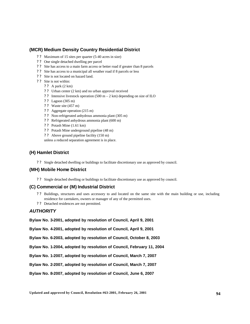## **(MCR) Medium Density Country Residential District**

- ? ? Maximum of 15 sites per quarter (5-40 acres in size)
- ? ? One single detached dwelling per parcel
- ? ? Site has access to a main farm access or better road if greater than 8 parcels
- ? ? Site has access to a municipal all weather road if 8 parcels or less
- ? ? Site is not located on hazard land.
- ? ? Site is not within:
	- ? ? A park (2 km)
	- ? ? Urban center (2 km) and no urban approval received
	- ? ? Intensive livestock operation (500 m 2 km) depending on size of ILO
	- ? ? Lagoon (305 m)
	- ? ? Waste site (457 m)
	- ? ? Aggregate operation (215 m)
	- ? ? Non-refrigerated anhydrous ammonia plant (305 m)
	- ? ? Refrigerated anhydrous ammonia plant (600 m)
	- ? ? Potash Mine (1.61 km)
	- ? ? Potash Mine underground pipeline (48 m)
	- ? ? Above ground pipeline facility (150 m)

unless a reduced separation agreement is in place.

## **(H) Hamlet District**

? ? Single detached dwelling or buildings to facilitate discretionary use as approved by council.

#### **(MH) Mobile Home District**

? ? Single detached dwelling or buildings to facilitate discretionary use as approved by council.

#### **(C) Commercial or (M) Industrial District**

- ? ? Buildings, structures and uses accessory to and located on the same site with the main building or use, including residence for caretakers, owners or manager of any of the permitted uses.
- ? ? Detached residences are not permitted.

#### *AUTHORITY*

**Bylaw No. 3-2001, adopted by resolution of Council, April 9, 2001**

**Bylaw No. 4-2001, adopted by resolution of Council, April 9, 2001**

**Bylaw No. 6-2003, adopted by resolution of Council, October 8, 2003**

**Bylaw No. 1-2004, adopted by resolution of Council, February 11, 2004**

**Bylaw No. 1-2007, adopted by resolution of Council, March 7, 2007**

**Bylaw No. 2-2007, adopted by resolution of Council, March 7, 2007**

**Bylaw No. 8-2007, adopted by resolution of Council, June 6, 2007**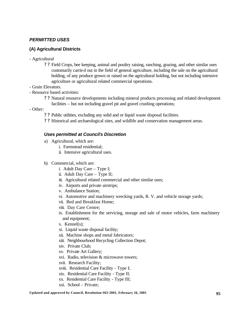# *PERMITTED USES*

# **(A) Agricultural Districts**

- Agricultural
	- ? ? Field Crops, bee keeping, animal and poultry raising, ranching, grazing, and other similar uses customarily carried out in the field of general agriculture, including the sale on the agricultural holding, of any produce grown or raised on the agricultural holding, but not including intensive agriculture or agricultural related commercial operations.
- Grain Elevators.
- Resource based activities:
	- ? ? Natural resource developments including mineral products processing and related development facilities – but not including gravel pit and gravel crushing operations;
- Other:
	- ? ? Public utilities, excluding any solid and or liquid waste disposal facilities.
	- ? ? Historical and archaeological sites, and wildlife and conservation management areas.

## *Uses permitted at Council's Discretion*

- a) Agricultural, which are:
	- i. Farmstead residential;
	- ii. Intensive agricultural uses.
- b) Commercial, which are:
	- i. Adult Day Care Type I;
	- ii. Adult Day Care Type II;
	- iii. Agricultural related commercial and other similar uses;
	- iv. Airports and private airstrips;
	- v. Ambulance Station;
	- vi. Automotive and machinery wrecking yards, R. V. and vehicle storage yards;
	- vii. Bed and Breakfast Home;
	- viii. Day Care Centre;
	- ix. Establishment for the servicing, storage and sale of motor vehicles, farm machinery and equipment;
	- x. Kennel(s);
	- xi. Liquid waste disposal facility;
	- xii. Machine shops and metal fabricators;
	- xiii. Neighbourhood Recycling Collection Depot;
	- xiv. Private Club;
	- xv. Private Art Gallery;
	- xvi. Radio, television & microwave towers;
	- xvii. Research Facility;
	- xviii. Residential Care Facility Type I;
	- xix. Residential Care Facility Type II;
	- xx. Residential Care Facility Type III;
	- xxi. School Private;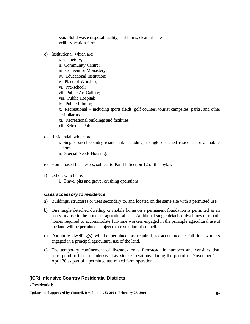xxii. Solid waste disposal facility, soil farms, clean fill sites; xxiii. Vacation farms.

- c) Institutional, which are:
	- i. Cemetery;
	- ii. Community Centre;
	- iii. Convent or Monastery;
	- iv. Educational Institution;
	- v. Place of Worship;
	- vi. Pre-school;
	- vii. Public Art Gallery;
	- viii. Public Hospital;
	- ix. Public Library;
	- x. Recreational including sports fields, golf courses, tourist campsites, parks, and other similar uses;
	- xi. Recreational buildings and facilities;
	- xii. School Public.
- d) Residential, which are:
	- i. Single parcel country residential, including a single detached residence or a mobile home;
	- ii. Special Needs Housing.
- e) Home based businesses, subject to Part III Section 12 of this bylaw.
- f) Other, which are:
	- i. Gravel pits and gravel crushing operations.

#### *Uses accessory to residence*

- a) Buildings, structures or uses secondary to, and located on the same site with a permitted use.
- b) One single detached dwelling or mobile home on a permanent foundation is permitted as an accessory use to the principal agricultural use. Additional single detached dwellings or mobile homes required to accommodate full-time workers engaged in the principle agricultural use of the land will be permitted, subject to a resolution of council.
- c) Dormitory dwelling(s) will be permitted, as required, to accommodate full-time workers engaged in a principal agricultural use of the land.
- d) The temporary confinement of livestock on a farmstead, in numbers and densities that correspond to those in Intensive Livestock Operations, during the period of November 1 – April 30 as part of a permitted use mixed farm operation

## **(ICR) Intensive Country Residential Districts**

#### - Residential: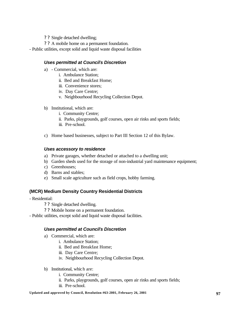- ? ? Single detached dwelling;
- ? ? A mobile home on a permanent foundation.
- Public utilities, except solid and liquid waste disposal facilities

## *Uses permitted at Council's Discretion*

- a) Commercial, which are:
	- i. Ambulance Station;
	- ii. Bed and Breakfast Home;
	- iii. Convenience stores;
	- iv. Day Care Centre;
	- v. Neighbourhood Recycling Collection Depot.
- b) Institutional, which are:
	- i. Community Centre;
	- ii. Parks, playgrounds, golf courses, open air rinks and sports fields;
	- iii. Pre-school.
- c) Home based businesses, subject to Part III Section 12 of this Bylaw.

## *Uses accessory to residence*

- a) Private garages, whether detached or attached to a dwelling unit;
- b) Garden sheds used for the storage of non-industrial yard maintenance equipment;
- c) Greenhouses;
- d) Barns and stables;
- e) Small scale agriculture such as field crops, hobby farming.

# **(MCR) Medium Density Country Residential Districts**

- Residential:
	- ? ? Single detached dwelling.
	- ? ? Mobile home on a permanent foundation.
- Public utilities, except solid and liquid waste disposal facilities.

## *Uses permitted at Council's Discretion*

- a) Commercial, which are:
	- i. Ambulance Station;
	- ii. Bed and Breakfast Home;
	- iii. Day Care Centre;
	- iv. Neighbourhood Recycling Collection Depot.
- b) Institutional, which are:
	- i. Community Centre;
	- ii. Parks, playgrounds, golf courses, open air rinks and sports fields;
	- iii. Pre-school.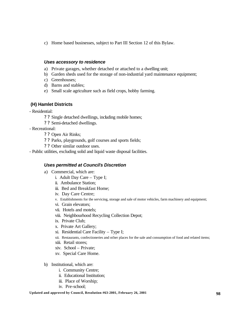c) Home based businesses, subject to Part III Section 12 of this Bylaw.

#### *Uses accessory to residence*

- a) Private garages, whether detached or attached to a dwelling unit;
- b) Garden sheds used for the storage of non-industrial yard maintenance equipment;
- c) Greenhouses;
- d) Barns and stables;
- e) Small scale agriculture such as field crops, hobby farming.

## **(H) Hamlet Districts**

- Residential:
	- ? ? Single detached dwellings, including mobile homes;
	- ? ? Semi-detached dwellings.
- Recreational:
	- ? ? Open Air Rinks;
	- ? ? Parks, playgrounds, golf courses and sports fields;
	- ? ? Other similar outdoor uses.
- Public utilities, excluding solid and liquid waste disposal facilities.

#### *Uses permitted at Council's Discretion*

- a) Commercial, which are:
	- i. Adult Day Care Type I;
	- ii. Ambulance Station;
	- iii. Bed and Breakfast Home;
	- iv. Day Care Centre;
	- v. Establishments for the servicing, storage and sale of motor vehicles, farm machinery and equipment;
	- vi. Grain elevators;
	- vii. Hotels and motels;
	- viii. Neighbourhood Recycling Collection Depot;
	- ix. Private Club;
	- x. Private Art Gallery;
	- xi. Residential Care Facility Type I;
	- xii. Restaurants, confectioneries and other places for the sale and consumption of food and related items;
	- xiii. Retail stores;
	- xiv. School Private;
	- xv. Special Care Home.
- b) Institutional, which are:
	- i. Community Centre;
	- ii. Educational Institution;
	- iii. Place of Worship;
	- iv. Pre-school;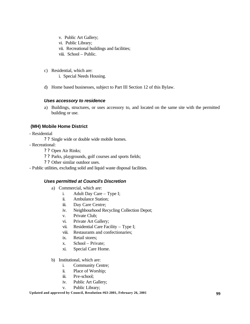- v. Public Art Gallery;
- vi. Public Library;
- vii. Recreational buildings and facilities;
- viii. School Public.
- c) Residential, which are:
	- i. Special Needs Housing.
- d) Home based businesses, subject to Part III Section 12 of this Bylaw.

## *Uses accessory to residence*

a) Buildings, structures, or uses accessory to, and located on the same site with the permitted building or use.

# **(MH) Mobile Home District**

- Residential
	- ? ? Single wide or double wide mobile homes.
- Recreational:
	- ? ? Open Air Rinks;
	- ? ? Parks, playgrounds, golf courses and sports fields;
	- ? ? Other similar outdoor uses.
- Public utilities, excluding solid and liquid waste disposal facilities.

## *Uses permitted at Council's Discretion*

- a) Commercial, which are:
	- i. Adult Day Care Type I;
	- ii. Ambulance Station;
	- iii. Day Care Centre;
	- iv. Neighbourhood Recycling Collection Depot;
	- v. Private Club;
	- vi. Private Art Gallery;
	- vii. Residential Care Facility Type I;
	- viii. Restaurants and confectionaries;
	- ix. Retail stores;
	- x. School Private;
	- xi. Special Care Home.
- b) Institutional, which are:
	- i. Community Centre;
	- ii. Place of Worship;
	- iii. Pre-school;
	- iv. Public Art Gallery;
	- v. Public Library;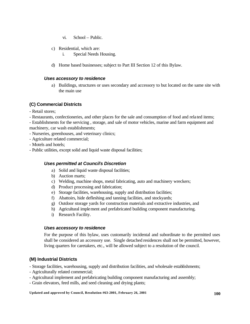- vi. School Public.
- c) Residential, which are:
	- i. Special Needs Housing.
- d) Home based businesses; subject to Part III Section 12 of this Bylaw.

#### *Uses accessory to residence*

a) Buildings, structures or uses secondary and accessory to but located on the same site with the main use

## **(C) Commercial Districts**

- Retail stores;
- Restaurants, confectioneries, and other places for the sale and consumption of food and rela ted items;
- Establishments for the servicing , storage, and sale of motor vehicles, marine and farm equipment and machinery, car wash establishments;
- Nurseries, greenhouses, and veterinary clinics;
- Agriculture related commercial;
- Motels and hotels;
- Public utilities, except solid and liquid waste disposal facilities;

## *Uses permitted at Council's Discretion*

- a) Solid and liquid waste disposal facilities;
- b) Auction marts;
- c) Welding, machine shops, metal fabricating, auto and machinery wreckers;
- d) Product processing and fabrication;
- e) Storage facilities, warehousing, supply and distribution facilities;
- f) Abattoirs, hide defleshing and tanning facilities, and stockyards;
- g) Outdoor storage yards for construction materials and extractive industries, and
- h) Agricultural implement and prefabricated building component manufacturing.
- i) Research Facility.

#### *Uses accessory to residence*

For the purpose of this bylaw, uses customarily incidental and subordinate to the permitted uses shall be considered an accessory use. Single detached residences shall not be permitted, however, living quarters for caretakers, etc., will be allowed subject to a resolution of the council.

## **(M) Industrial Districts**

- Storage facilities, warehousing, supply and distribution facilities, and wholesale establishments;

- Agriculturally related commercial;
- Agricultural implement and prefabricating building component manufacturing and assembly;
- Grain elevators, feed mills, and seed cleaning and drying plants;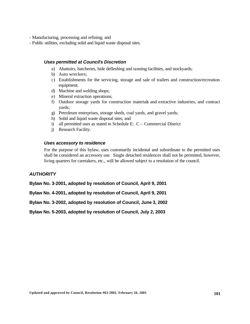- Manufacturing, processing and refining; and
- Public utilities, excluding solid and liquid waste disposal sites.

#### *Uses permitted at Council's Discretion*

- a) Abattoirs, hatcheries, hide defleshing and tanning facilities, and stockyards;
- b) Auto wreckers;
- c) Establishments for the servicing, storage and sale of trailers and construction/recreation equipment;
- d) Machine and welding shops;
- e) Mineral extraction operations;
- f) Outdoor storage yards for construction materials and extractive industries, and contract yards;
- g) Petroleum enterprises, storage sheds, coal yards, and gravel yards;
- h) Solid and liquid waste disposal sites; and
- i) all permitted uses as stated in Schedule E: C Commercial District
- j) Research Facility.

#### *Uses accessory to residence*

For the purpose of this bylaw, uses customarily incidental and subordinate to the permitted uses shall be considered an accessory use. Single detached residences shall not be permitted, however, living quarters for caretakers, etc., will be allowed subject to a resolution of the council.

## *AUTHORITY*

**Bylaw No. 3-2001, adopted by resolution of Council, April 9, 2001**

**Bylaw No. 4-2001, adopted by resolution of Council, April 9, 2001**

**Bylaw No. 3-2002, adopted by resolution of Council, June 3, 2002**

**Bylaw No. 5-2003, adopted by resolution of Council, July 2, 2003**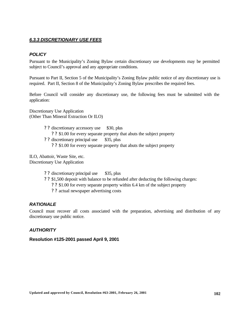# *6.3.3 DISCRETIONARY USE FEES*

## *POLICY*

Pursuant to the Municipality's Zoning Bylaw certain discretionary use developments may be permitted subject to Council's approval and any appropriate conditions.

Pursuant to Part II, Section 5 of the Municipality's Zoning Bylaw public notice of any discretionary use is required. Part II, Section 8 of the Municipality's Zoning Bylaw prescribes the required fees.

Before Council will consider any discretionary use, the following fees must be submitted with the application:

Discretionary Use Application (Other Than Mineral Extraction Or ILO)

> ? ? discretionary accessory use \$30, plus ? ? \$1.00 for every separate property that abuts the subject property ? ? discretionary principal use \$35, plus ? ? \$1.00 for every separate property that abuts the subject property

ILO, Abattoir, Waste Site, etc. Discretionary Use Application

- ? ? discretionary principal use \$35, plus
- ? ? \$1,500 deposit with balance to be refunded after deducting the following charges:
	- ? ? \$1.00 for every separate property within 6.4 km of the subject property
	- ? ? actual newspaper advertising costs

## *RATIONALE*

Council must recover all costs associated with the preparation, advertising and distribution of any discretionary use public notice.

## *AUTHORITY*

#### **Resolution #125-2001 passed April 9, 2001**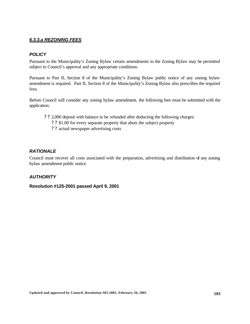# *6.3.3.a REZONING FEES*

# *POLICY*

Pursuant to the Municipality's Zoning Bylaw certain amendments to the Zoning Bylaw may be permitted subject to Council's approval and any appropriate conditions.

Pursuant to Part II, Section 8 of the Municipality's Zoning Bylaw public notice of any zoning bylaw amendment is required. Part II, Section 8 of the Municipality's Zoning Bylaw also prescribes the required fees.

Before Council will consider any zoning bylaw amendment, the following fees must be submitted with the application:

- ? ? 2,000 deposit with balance to be refunded after deducting the following charges:
	- ? ? \$1.00 for every separate property that abuts the subject property
	- ? ? actual newspaper advertising costs

# *RATIONALE*

Council must recover all costs associated with the preparation, advertising and distribution of any zoning bylaw amendment public notice.

## *AUTHORITY*

## **Resolution #125-2001 passed April 9, 2001**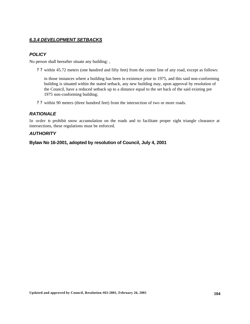# *6.3.4 DEVELOPMENT SETBACKS*

## *POLICY*

No person shall hereafter situate any building: ,

? ? within 45.72 meters (one hundred and fifty feet) from the center line of any road, except as follows:

in those instances where a building has been in existence prior to 1975, and this said non-conforming building is situated within the stated setback, any new building may, upon approval by resolution of the Council, have a reduced setback up to a distance equal to the set back of the said existing pre 1975 non-conforming building;

? ? within 90 meters (three hundred feet) from the intersection of two or more roads.

## *RATIONALE*

In order to prohibit snow accumulation on the roads and to facilitate proper sight triangle clearance at intersections, these regulations must be enforced.

## *AUTHORITY*

**Bylaw No 16-2001, adopted by resolution of Council, July 4, 2001**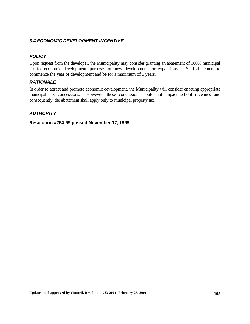## *6.4 ECONOMIC DEVELOPMENT INCENTIVE*

# *POLICY*

Upon request from the developer, the Municipality may consider granting an abatement of 100% municipal tax for economic development purposes on new developments or expansions . Said abatement to commence the year of development and be for a maximum of 5 years.

## *RATIONALE*

In order to attract and promote economic development, the Municipality will consider enacting appropriate municipal tax concessions. However, these concession should not impact school revenues and consequently, the abatement shall apply only to municipal property tax.

## *AUTHORITY*

**Resolution #264-99 passed November 17, 1999**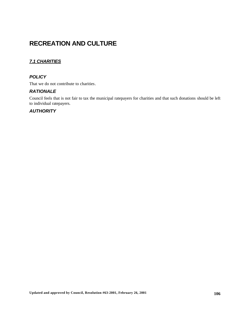# **RECREATION AND CULTURE**

# *7.1 CHARITIES*

# *POLICY*

That we do not contribute to charities.

## *RATIONALE*

Council feels that is not fair to tax the municipal ratepayers for charities and that such donations should be left to individual ratepayers.

# *AUTHORITY*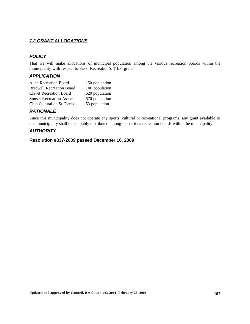## *7.2 GRANT ALLOCATIONS*

# *POLICY*

That we will make allocations of municipal population among the various recreation boards within the municipality with respect to Sask. Recreation's T.I.P. grant

## *APPLICATION*

| Allan Recreation Board           | 150 population |
|----------------------------------|----------------|
| <b>Bradwell Recreation Board</b> | 100 population |
| <b>Clavet Recreation Board</b>   | 620 population |
| <b>Sunset Recreation Assoc.</b>  | 670 population |
| Club Cultural de St. Denis       | 53 population  |

# *RATIONALE*

Since this municipality does not operate any sports, cultural or recreational programs, any grant available to this municipality shall be equitably distributed among the various recreation boards within the municipality.

## *AUTHORITY*

## **Resolution #337-2009 passed December 16, 2009**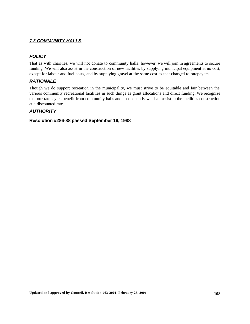## *7.3 COMMUNITY HALLS*

# *POLICY*

That as with charities, we will not donate to community halls, however, we will join in agreements to secure funding. We will also assist in the construction of new facilities by supplying municipal equipment at no cost, except for labour and fuel costs, and by supplying gravel at the same cost as that charged to ratepayers.

## *RATIONALE*

Though we do support recreation in the municipality, we must strive to be equitable and fair between the various community recreational facilities in such things as grant allocations and direct funding. We recognize that our ratepayers benefit from community halls and consequently we shall assist in the facilities construction at a discounted rate.

## *AUTHORITY*

## **Resolution #286-88 passed September 19, 1988**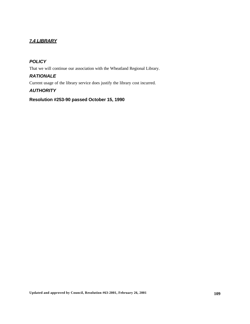# *7.4 LIBRARY*

# *POLICY*

That we will continue our association with the Wheatland Regional Library.

## *RATIONALE*

Current usage of the library service does justify the library cost incurred.

# *AUTHORITY*

# **Resolution #253-90 passed October 15, 1990**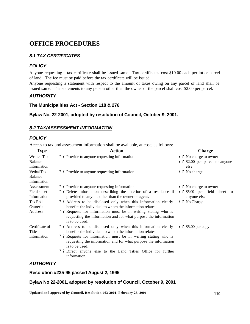# **OFFICE PROCEDURES**

# *8.1 TAX CERTIFICATES*

# *POLICY*

Anyone requesting a tax certificate shall be issued same. Tax certificates cost \$10.00 each per lot or parcel of land. The fee must be paid before the tax certificate will be issued.

Anyone requesting a statement with respect to the amount of taxes owing on any parcel of land shall be issued same. The statements to any person other than the owner of the parcel shall cost \$2.00 per parcel.

## *AUTHORITY*

## **The Municipalities Act - Section 118 & 276**

## **Bylaw No. 22-2001, adopted by resolution of Council, October 9, 2001.**

## *8.2 TAX/ASSESSMENT INFORMATION*

# *POLICY*

Access to tax and assessment information shall be available, at costs as follows:

| <b>Type</b>        | <b>Action</b>                                                       | <b>Charge</b>                   |
|--------------------|---------------------------------------------------------------------|---------------------------------|
| <b>Written Tax</b> | ? ? Provide to anyone requesting information                        | ? ? No charge to owner          |
| Balance            |                                                                     | ? ? \$2.00 per parcel to anyone |
| Information        |                                                                     | else                            |
| Verbal Tax         | ? ? Provide to anyone requesting information                        | ? ? No charge                   |
| Balance            |                                                                     |                                 |
| Information        |                                                                     |                                 |
| Assessment         | ? ? Provide to anyone requesting information.                       | ? ? No charge to owner          |
| Field sheet        | ? ? Delete information describing the interior of a residence if    | \$5.00 per field sheet to<br>22 |
| Information        | provided to anyone other than the owner or agent.                   | anyone else                     |
| <b>Tax Roll</b>    | ? ? Address to be disclosed only when this information clearly      | ? ? No Charge                   |
| Owner's            | benefits the individual to whom the information relates.            |                                 |
| Address            | ? ? Requests for information must be in writing stating who is      |                                 |
|                    | requesting the information and for what purpose the information     |                                 |
|                    | is to be used.                                                      |                                 |
| Certificate of     | ? ? Address to be disclosed only when this information clearly      | ? ? \$5.00 per copy             |
| Title              | benefits the individual to whom the information relates.            |                                 |
| Information        | ? ? Requests for information must be in writing stating who is      |                                 |
|                    | requesting the information and for what purpose the information     |                                 |
|                    | is to be used.                                                      |                                 |
|                    | ? Price 2. Direct anyone else to the Land Titles Office for further |                                 |
|                    | information.                                                        |                                 |
|                    |                                                                     |                                 |

# *AUTHORITY*

## **Resolution #235-95 passed August 2, 1995**

### **Bylaw No 22-2001, adopted by resolution of Council, October 9, 2001**

**Updated and approved by Council, Resolution #63-2001, February 26, 2001 110**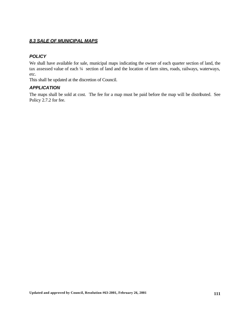# *8.3 SALE OF MUNICIPAL MAPS*

# *POLICY*

We shall have available for sale, municipal maps indicating the owner of each quarter section of land, the tax assessed value of each ¼ section of land and the location of farm sites, roads, railways, waterways, etc.

This shall be updated at the discretion of Council.

# *APPLICATION*

The maps shall be sold at cost. The fee for a map must be paid before the map will be distributed. See Policy 2.7.2 for fee.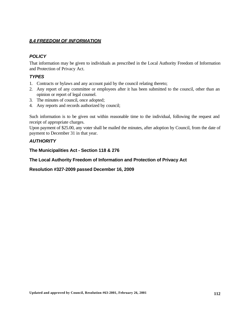# *8.4 FREEDOM OF INFORMATION*

# *POLICY*

That information may be given to individuals as prescribed in the Local Authority Freedom of Information and Protection of Privacy Act.

# *TYPES*

- 1. Contracts or bylaws and any account paid by the council relating thereto;
- 2. Any report of any committee or employees after it has been submitted to the council, other than an opinion or report of legal counsel.
- 3. The minutes of council, once adopted;
- 4. Any reports and records authorized by council;

Such information is to be given out within reasonable time to the individual, following the request and receipt of appropriate charges.

Upon payment of \$25.00, any voter shall be mailed the minutes, after adoption by Council, from the date of payment to December 31 in that year.

# *AUTHORITY*

**The Municipalities Act - Section 118 & 276**

**The Local Authority Freedom of Information and Protection of Privacy Act**

**Resolution #327-2009 passed December 16, 2009**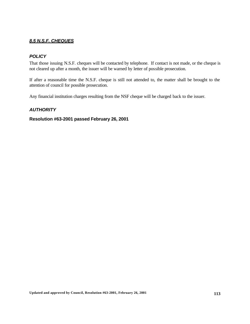# *8.5 N.S.F. CHEQUES*

# *POLICY*

That those issuing N.S.F. cheques will be contacted by telephone. If contact is not made, or the cheque is not cleared up after a month, the issuer will be warned by letter of possible prosecution.

If after a reasonable time the N.S.F. cheque is still not attended to, the matter shall be brought to the attention of council for possible prosecution.

Any financial institution charges resulting from the NSF cheque will be charged back to the issuer.

# *AUTHORITY*

## **Resolution #63-2001 passed February 26, 2001**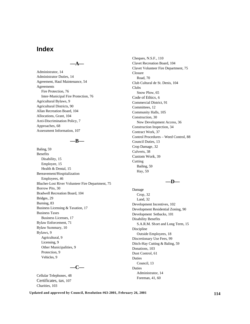# **Index**

#### **—A—**

Administrator, 14 Administrator Duties, 14 Agreement, Haul Maintenance, 54 **Agreements** Fire Protection, 76 Inter-Municipal Fire Protection, 76 Agricultural Bylaws, 9 Agricultural Districts, 90 Allan Recreation Board, 104 Allocations, Grant, 104 Anti-Discrimination Policy, 7 Approaches, 68 Assessment Information, 107

## **—B—**

Baling, 59 Benefits Disability, 15 Employee, 15 Health & Dental, 15 Bereavement/Hospitalization Employees, 46 Blucher-Lost River Volunteer Fire Department, 75 Borrow Pits, 30 Bradwell Recreation Board, 104 Bridges, 29 Burning, 83 Business Licensing & Taxation, 17 Business Taxes Business Licenses, 17 Bylaw Enforcement, 71 Bylaw Summary, 10 Bylaws, 9 Agricultural, 9 Licensing, 9 Other Municipalities, 9 Protection, 9 Vehicles, 9

# **—C—**

Cellular Telephones, 48 Certificates, tax, 107 Charities, 103

Cheques, N.S.F., 110 Clavet Recreation Board, 104 Clavet Volunteer Fire Department, 75 Closure Road, 70 Club Cultural de St. Denis, 104 Clubs Snow Plow, 65 Code of Ethics, 6 Commercial District, 91 Committees, 12 Community Halls, 105 Construction, 30 New Development Access, 36 Construction Inspection, 34 Contract Work, 37 Control Procedures – Weed Control, 88 Council Duties, 13 Crop Damage, 32 Culverts, 38 Custom Work, 39 **Cutting** Bailing, 59 Hay, 59

#### **—D—**

Damage Crop, 32 Land, 32 Development Incentives, 102 Development Residential Zoning, 90 Development Setbacks, 101 Disability Benefits S.A.R.M. Short and Long Term, 15 Discipline Outside Employees, 18 Discretionary Use Fees, 99 Ditch-Hay Cutting & Baling, 59 Donations, 103 Dust Control, 61 Duties Council, 13 Duties Administrator, 14 Foreman, 41, 60

**Updated and approved by Council, Resolution #63-2001, February 26, 2001 114**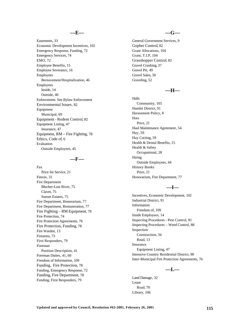#### **—E—**

Easements, 33 Economic Development Incentives, 102 Emergency Response, Funding, 72 Emergency Services, 74 EMO, 72 Employee Benefits, 15 Employee Severance, 16 Employees Bereavement/Hospitalization, 46 Employees Inside, 14 Outside, 40 Enforcement. See Bylaw Enforcement Environmental Issues, 82 Equipment Municipal, 69 Equipment - Rodent Control, 82 Equipment Listing, 47 Insurance, 47 Equipment, RM – Fire Fighting, 78 Ethics, Code of, 6 Evaluation Outside Employees, 45

#### **—F—**

Fax Price for Service, 21 Fences, 31 Fire Department Blucher-Lost River, 75 Clavet, 75 Sunset Estates, 75 Fire Department, Honorarium, 77 Fire Department, Remuneration, 77 Fire Fighting – RM Equipment, 78 Fire Protection, 74 Fire Protection Agreements, 76 Fire Protection, Funding, 78 Fire Warden, 13 Firearms, 73 First Responders, 79 Foreman Position Description, 41 Foreman Duties, 41, 60 Freedom of Information, 109 Funding, Fire Protection, 78 Funding, Emergency Response, 72 Funding, Fire Department, 78 Funding, First Responders, 79

#### **—G—**

General Government Services, 9 Gopher Control, 82 Grant Allocations, 104 Grant, T.I.P, 104 Grasshopper Control, 82 Gravel Crushing, 37 Gravel Pit, 49 Gravel Sales, 50 Graveling, 52

## **—H—**

Halls Community, 105 Hamlet District, 91 Harassment Policy, 8 Hats Price, 21 Haul Maintenance Agreement, 54 Hay, 59 Hay Cutting, 59 Health & Dental Benefits, 15 Health & Safety Occupational, 28 Hiring Outside Employees, 44 History Books Price, 21 Honorarium, Fire Department, 77

# **—I—**

Incentives, Economic Development, 102 Industrial District, 91 Information Freedom of, 109 Inside Employees, 14 Inspecting Procedures - Pest Control, 81 Inspecting Procedures – Weed Control, 88 Inspection Construction, 34 Road, 13 Insurance Equipment Listing, 47 Intensive Country Residential District, 90 Inter-Municipal Fire Protection Agreements, 76

#### **—L—**

Land Damage, 32 Lease Road, 70 Library, 106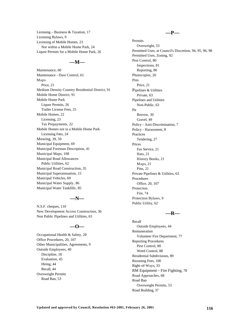Licensing – Business & Taxation, 17 Licensing Bylaws, 9 Licensing of Mobile Homes, 23 Not within a Mobile Home Park, 24 Liquor Permits for a Mobile Home Park, 26

#### **—M—**

Maintenance, 60 Maintenance - Dust Control, 61 Maps Price, 21 Medium Density Country Residential District, 91 Mobile Home District, 91 Mobile Home Park Liquor Permits, 26 Trailer License Fees, 25 Mobile Homes, 22 Licensing, 23 Tax Prepayments, 22 Mobile Homes not in a Mobile Home Park Licensing Fees, 24 Mowing, 39, 59 Municipal Equipment, 69 Municipal Foreman Description, 41 Municipal Maps, 108 Municipal Road Allowances Public Utilities, 62 Municipal Road Construction, 35 Municipal Superannuation, 15 Municipal Vehicles, 69 Municipal Water Supply, 86 Municipal Water Tankfills, 85

#### **—N—**

N.S.F. cheques, 110 New Development Access Construction, 36 Non Public Pipelines and Utilities, 63

### **—O—**

Occupational Health & Safety, 28 Office Procedures, 20, 107 Other Municipalities, Agreements, 9 Outside Employees, 40 Discipline, 18 Evaluation, 45 Hiring, 44 Recall, 44 Overweight Permits Road Ban, 53

#### **—P—**

Permits Overweight, 53 Permitted Uses, at Council's Discretion, 94, 95, 96, 98 Permitted Uses, Zoning, 92 Pest Control, 80 Inspections, 81 Reporting, 80 Photocopies, 20 Pins Price, 21 Pipelines & Utilities Private, 63 Pipelines and Utilities Non-Public, 63 Pit Borrow, 30 Gravel, 49 Policy - Anti-Discrimination, 7 Policy - Harassment, 8 Practices Tendering, 27 Prices Fax Service, 21 Hats, 21 History Books, 21 Maps, 21 Pins, 21 Private Pipelines & Utilities, 63 Procedures Office, 20, 107 Protection Fire, 74 Protection Bylaws, 9 Public Utility, 62

#### **—R—**

Recall Outside Employees, 44 Remuneration Volunteer Fire Department, 77 Reporting Procedures Pest Control, 80 Weed Control, 88 Residential Subdivisions, 89 Rezoning Fees, 100 Right-of-Ways, 33 RM Equipment – Fire Fighting, 78 Road Approaches, 68 Road Ban Overweight Permits, 53 Road Building, 37